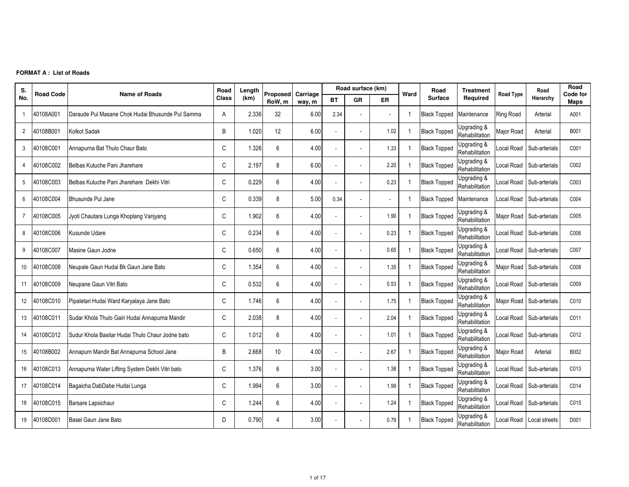## **FORMAT A : List of Roads**

| S.             | <b>Road Code</b> | <b>Name of Roads</b>                             | Road         | Length | Proposed | Carriage |           | Road surface (km) |           | Ward | Road                | <b>Treatment</b>              | <b>Road Type</b> | Road                       | Road<br>Code for |
|----------------|------------------|--------------------------------------------------|--------------|--------|----------|----------|-----------|-------------------|-----------|------|---------------------|-------------------------------|------------------|----------------------------|------------------|
| No.            |                  |                                                  | <b>Class</b> | (km)   | RoW.m    | way, m   | <b>BT</b> | GR                | <b>ER</b> |      | <b>Surface</b>      | Required                      |                  | Hierarchy                  | <b>Maps</b>      |
|                | 40108A001        | Daraude Pul Masane Chok Hudai Bhusunde Pul Samma | A            | 2.336  | 32       | 6.00     | 2.34      |                   |           |      | <b>Black Topped</b> | Maintenance                   | <b>Ring Road</b> | Arterial                   | A001             |
| $\overline{2}$ | 40108B001        | <b>Kolkot Sadak</b>                              | B            | 1.020  | 12       | 6.00     |           |                   | 1.02      |      | <b>Black Topped</b> | Upgrading &<br>Rehabilitation | Major Road       | Arterial                   | B001             |
| 3              | 40108C001        | Annapurna Bat Thulo Chaur Bato                   | C            | 1.326  | 6        | 4.00     |           |                   | 1.33      |      | <b>Black Topped</b> | Upgrading &<br>Rehabilitation | ocal Road        | Sub-arterials              | C001             |
|                | 40108C002        | Belbas Kutuche Pani Jharehare                    | $\mathsf{C}$ | 2.197  | 8        | 6.00     |           |                   | 2.20      |      | <b>Black Topped</b> | Upgrading &<br>Rehabilitation |                  | ocal Road Sub-arterials    | C002             |
| 5              | 40108C003        | Belbas Kutuche Pani Jharehare Dekhi Vitri        | C            | 0.229  | 6        | 4.00     |           |                   | 0.23      |      | <b>Black Topped</b> | Upgrading &<br>Rehabilitation | Local Road       | Sub-arterials              | C003             |
| 6              | 40108C004        | Bhusunde Pul Jane                                | C            | 0.339  | 8        | 5.00     | 0.34      |                   |           | -1   | <b>Black Topped</b> | Maintenance                   | Local Road       | Sub-arterials              | C004             |
| 7              | 40108C005        | Jyoti Chautara Lunga Khoplang Vanjyang           | C            | 1.902  | 6        | 4.00     |           |                   | 1.90      |      | <b>Black Topped</b> | Upgrading &<br>Rehabilitation |                  | Major Road Sub-arterials   | C005             |
| 8              | 40108C006        | Kusunde Udare                                    | C            | 0.234  | 6        | 4.00     |           |                   | 0.23      |      | <b>Black Topped</b> | Upgrading &<br>Rehabilitation | Local Road       | Sub-arterials              | C006             |
| 9              | 40108C007        | Masine Gaun Jodne                                | C            | 0.650  | 6        | 4.00     |           |                   | 0.65      |      | <b>Black Topped</b> | Upgrading &<br>Rehabilitation | ocal Road        | Sub-arterials              | C007             |
| 10             | 40108C008        | Neupale Gaun Hudai Bk Gaun Jane Bato             | C            | 1.354  | 6        | 4.00     |           |                   | 1.35      |      | <b>Black Topped</b> | Upgrading &<br>Rehabilitation |                  | Major Road Sub-arterials   | C008             |
| 11             | 40108C009        | Neupane Gaun Vitri Bato                          | C            | 0.532  | 6        | 4.00     |           |                   | 0.53      |      | <b>Black Topped</b> | Upgrading &<br>Rehabilitation |                  | Local Road Sub-arterials   | C009             |
| 12             | 40108C010        | Pipaletari Hudai Ward Karyalaya Jane Bato        | $\mathsf{C}$ | 1.746  | 6        | 4.00     |           |                   | 1.75      |      | <b>Black Topped</b> | Upgrading &<br>Rehabilitation |                  | Major Road   Sub-arterials | C010             |
| 13             | 40108C011        | Sudar Khola Thulo Gairi Hudai Annapurna Mandir   | C            | 2.038  | 8        | 4.00     |           |                   | 2.04      |      | <b>Black Topped</b> | Upgrading &<br>Rehabilitation | Local Road       | Sub-arterials              | C011             |
| 14             | 40108C012        | Sudur Khola Basitar Hudai Thulo Chaur Jodne bato | C            | 1.012  | 6        | 4.00     |           |                   | 1.01      |      | <b>Black Topped</b> | Upgrading &<br>Rehabilitation | ocal Road        | Sub-arterials              | C012             |
| 15             | 40108B002        | Annapurn Mandir Bat Annapurna School Jane        | B            | 2.668  | 10       | 4.00     |           |                   | 2.67      |      | <b>Black Topped</b> | Upgrading &<br>Rehabilitation | Major Road       | Arterial                   | B002             |
| 16             | 40108C013        | Annapurna Water Lifting System Dekhi Vitri bato  | $\mathsf{C}$ | 1.376  | 6        | 3.00     |           |                   | 1.38      |      | <b>Black Topped</b> | Upgrading &<br>Rehabilitation | ocal Road        | Sub-arterials              | C013             |
| 17             | 40108C014        | Bagaicha DabDabe Hudai Lunga                     | C            | 1.994  | 6        | 3.00     |           |                   | 1.99      |      | <b>Black Topped</b> | Upgrading &<br>Rehabilitation | ocal Road        | Sub-arterials              | C014             |
| 18             | 40108C015        | Barsare Lapsichaur                               | C            | 1.244  | 6        | 4.00     |           |                   | 1.24      |      | <b>Black Topped</b> | Upgrading &<br>Rehabilitation |                  | ocal Road Sub-arterials    | C015             |
| 19             | 40108D001        | Basel Gaun Jane Bato                             | D            | 0.790  | 4        | 3.00     |           |                   | 0.79      |      | <b>Black Topped</b> | Jpgrading &<br>Rehabilitation |                  | ocal Road Local streets    | D001             |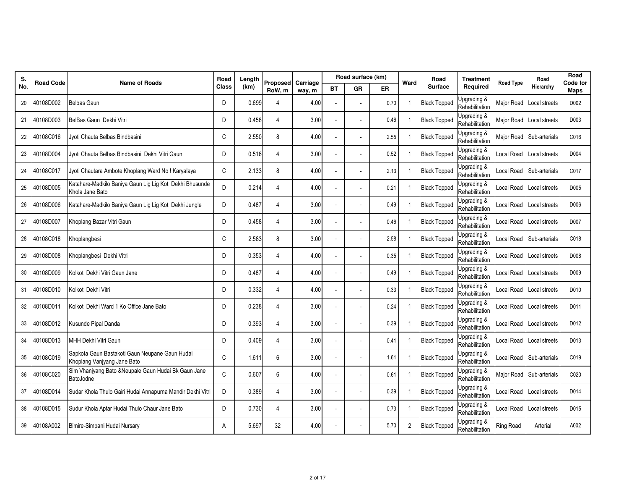| S.  | <b>Road Code</b> | <b>Name of Roads</b>                                                          | Road         | Length | Proposed       | Carriage |           | Road surface (km) |           | Ward           | Road                | <b>Treatment</b>              | <b>Road Type</b> | Road                       | Road<br>Code for |
|-----|------------------|-------------------------------------------------------------------------------|--------------|--------|----------------|----------|-----------|-------------------|-----------|----------------|---------------------|-------------------------------|------------------|----------------------------|------------------|
| No. |                  |                                                                               | <b>Class</b> | (km)   | RoW, m         | way, m   | <b>BT</b> | GR                | <b>ER</b> |                | <b>Surface</b>      | Required                      |                  | Hierarchy                  | Maps             |
| 20  | 40108D002        | Belbas Gaun                                                                   | D            | 0.699  | Δ              | 4.00     |           |                   | 0.70      |                | <b>Black Topped</b> | Jpgrading &<br>Rehabilitation | Major Road       | Local streets              | D002             |
| 21  | 40108D003        | BelBas Gaun Dekhi Vitri                                                       | D            | 0.458  | 4              | 3.00     |           |                   | 0.46      |                | <b>Black Topped</b> | Jpgrading &<br>Rehabilitation |                  | Major Road   Local streets | D003             |
| 22  | 40108C016        | Jyoti Chauta Belbas Bindbasini                                                | C            | 2.550  | 8              | 4.00     |           |                   | 2.55      |                | <b>Black Topped</b> | Jpgrading &<br>Rehabilitation | Major Road       | Sub-arterials              | C016             |
| 23  | 40108D004        | Jvoti Chauta Belbas Bindbasini Dekhi Vitri Gaun                               | D            | 0.516  | $\overline{4}$ | 3.00     |           |                   | 0.52      |                | <b>Black Topped</b> | Jpgrading &<br>Rehabilitation |                  | Local Road   Local streets | D004             |
| 24  | 40108C017        | Jyoti Chautara Ambote Khoplang Ward No! Karyalaya                             | C            | 2.133  | 8              | 4.00     |           |                   | 2.13      |                | <b>Black Topped</b> | Jpgrading &<br>Rehabilitation | Local Road       | Sub-arterials              | C017             |
| 25  | 40108D005        | Katahare-Madkilo Baniya Gaun Lig Lig Kot Dekhi Bhusunde<br>Khola Jane Bato    | D            | 0.214  | 4              | 4.00     |           |                   | 0.21      |                | <b>Black Topped</b> | Jpgrading &<br>Rehabilitation |                  | Local Road   Local streets | D005             |
| 26  | 40108D006        | Katahare-Madkilo Baniya Gaun Lig Lig Kot Dekhi Jungle                         | D            | 0.487  | 4              | 3.00     |           |                   | 0.49      |                | <b>Black Topped</b> | Jpgrading &<br>Rehabilitation | Local Road       | Local streets              | D006             |
| 27  | 40108D007        | Khoplang Bazar Vitri Gaun                                                     | D            | 0.458  | 4              | 3.00     |           |                   | 0.46      |                | <b>Black Topped</b> | Jpgrading &<br>Rehabilitation |                  | Local Road   Local streets | D007             |
| 28  | 40108C018        | Khoplangbesi                                                                  | C            | 2.583  | 8              | 3.00     | L.        |                   | 2.58      |                | <b>Black Topped</b> | Jpgrading &<br>Rehabilitation | Local Road       | Sub-arterials              | C018             |
| 29  | 40108D008        | Khoplangbesi Dekhi Vitri                                                      | D            | 0.353  | 4              | 4.00     |           |                   | 0.35      |                | <b>Black Topped</b> | Jpgrading &<br>Rehabilitation |                  | Local Road Local streets   | D008             |
| 30  | 40108D009        | Kolkot Dekhi Vitri Gaun Jane                                                  | D            | 0.487  | 4              | 4.00     |           |                   | 0.49      |                | <b>Black Topped</b> | Upgrading &<br>Rehabilitation | Local Road       | Local streets              | D009             |
| 31  | 40108D010        | Kolkot Dekhi Vitri                                                            | D            | 0.332  | 4              | 4.00     |           |                   | 0.33      |                | <b>Black Topped</b> | Jpgrading &<br>Rehabilitation |                  | Local Road   Local streets | D010             |
| 32  | 40108D011        | Kolkot Dekhi Ward 1 Ko Office Jane Bato                                       | D            | 0.238  | 4              | 3.00     |           |                   | 0.24      |                | <b>Black Topped</b> | Upgrading &<br>Rehabilitation | Local Road       | Local streets              | D011             |
| 33  | 40108D012        | Kusunde Pipal Danda                                                           | D            | 0.393  | 4              | 3.00     |           |                   | 0.39      |                | <b>Black Topped</b> | Jpgrading &<br>Rehabilitation | Local Road       | Local streets              | D012             |
| 34  | 40108D013        | MHH Dekhi Vitri Gaun                                                          | D.           | 0.409  | 4              | 3.00     |           |                   | 0.41      |                | <b>Black Topped</b> | Upgrading &<br>Rehabilitation | Local Road       | Local streets              | D013             |
| 35  | 40108C019        | Sapkota Gaun Bastakoti Gaun Neupane Gaun Hudai<br>Khoplang Vanjyang Jane Bato | C            | 1.611  | 6              | 3.00     |           |                   | 1.61      |                | <b>Black Topped</b> | Jpgrading &<br>Rehabilitation |                  | Local Road Sub-arterials   | C019             |
| 36  | 40108C020        | Sim Vhanjyang Bato & Neupale Gaun Hudai Bk Gaun Jane<br>BatoJodne             | $\mathsf{C}$ | 0.607  | 6              | 4.00     |           |                   | 0.61      |                | <b>Black Topped</b> | Jpgrading &<br>Rehabilitation |                  | Major Road Sub-arterials   | C020             |
| 37  | 40108D014        | Sudar Khola Thulo Gairi Hudai Annapurna Mandir Dekhi Vitri                    | D            | 0.389  | 4              | 3.00     |           |                   | 0.39      |                | <b>Black Topped</b> | Jpgrading &<br>Rehabilitation | Local Road       | Local streets              | D014             |
| 38  | 40108D015        | Sudur Khola Aptar Hudai Thulo Chaur Jane Bato                                 | D            | 0.730  | 4              | 3.00     |           | ÷,                | 0.73      |                | <b>Black Topped</b> | Jpgrading &<br>Rehabilitation | Local Road       | Local streets              | D015             |
| 39  | 40108A002        | Bimire-Simpani Hudai Nursary                                                  | A            | 5.697  | 32             | 4.00     |           |                   | 5.70      | $\overline{2}$ | <b>Black Topped</b> | Jpgrading &<br>Rehabilitation | Ring Road        | Arterial                   | A002             |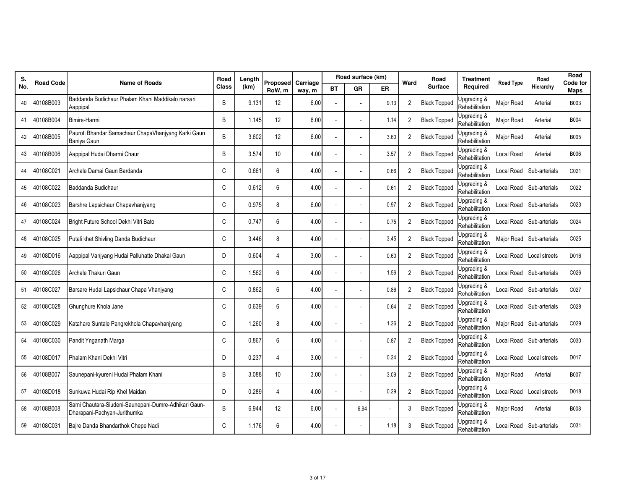| S.        | <b>Road Code</b> | <b>Name of Roads</b>                                                                 | Road  | Length | Proposed       | Carriage |           | Road surface (km)        |        | Ward           | Road                | <b>Treatment</b>              | Road Type  | Road                       | Road<br>Code for |
|-----------|------------------|--------------------------------------------------------------------------------------|-------|--------|----------------|----------|-----------|--------------------------|--------|----------------|---------------------|-------------------------------|------------|----------------------------|------------------|
| <b>No</b> |                  |                                                                                      | Class | (km)   | RoW, m         | way, m   | <b>BT</b> | GR                       | ER     |                | <b>Surface</b>      | Required                      |            | Hierarchy                  | Maps             |
| 40        | 40108B003        | Baddanda Budichaur Phalam Khani Maddikalo narsari<br>Aappipal                        | B     | 9.131  | 12             | 6.00     | ä,        |                          | 9.13   | 2              | <b>Black Topped</b> | Upgrading &<br>Rehabilitation | Major Road | Arterial                   | B003             |
| 41        | 40108B004        | Bimire-Harmi                                                                         | B     | 1.145  | 12             | 6.00     |           |                          | 1.14   | $\overline{2}$ | <b>Black Topped</b> | Upgrading &<br>Rehabilitation | Major Road | Arterial                   | B004             |
| 42        | 40108B005        | Pauroti Bhandar Samachaur ChapaVhanjyang Karki Gaun<br>Baniva Gaun                   | B     | 3.602  | 12             | 6.00     | J.        |                          | 3.60   | $\overline{2}$ | <b>Black Topped</b> | Upgrading &<br>Rehabilitation | Major Road | Arterial                   | <b>B005</b>      |
| 43        | 40108B006        | Aappipal Hudai Dharmi Chaur                                                          | B     | 3.574  | 10             | 4.00     |           |                          | 3.57   | $\overline{2}$ | <b>Black Topped</b> | Jpgrading &<br>Rehabilitation | ocal Road  | Arterial                   | B006             |
| 44        | 40108C021        | Archale Damai Gaun Bardanda                                                          | C     | 0.661  | 6              | 4.00     | ä,        | $\overline{\phantom{a}}$ | 0.66   | 2              | <b>Black Topped</b> | Upgrading &<br>Rehabilitation | Local Road | Sub-arterials              | C021             |
| 45        | 40108C022        | Baddanda Budichaur                                                                   | С     | 0.612  | $6\phantom{1}$ | 4.00     |           |                          | 0.61   | $\overline{2}$ | <b>Black Topped</b> | Upgrading &<br>Rehabilitation | ocal Road  | Sub-arterials              | C022             |
| 46        | 40108C023        | Barshre Lapsichaur Chapavhanjyang                                                    | С     | 0.975  | 8              | 6.00     |           |                          | 0.97   | $\overline{2}$ | <b>Black Topped</b> | Upgrading &<br>Rehabilitation | Local Road | Sub-arterials              | C023             |
| 47        | 40108C024        | Bright Future School Dekhi Vitri Bato                                                | C     | 0.747  | 6              | 4.00     |           |                          | 0.75   | $\overline{2}$ | <b>Black Topped</b> | Jpgrading &<br>Rehabilitation |            | Local Road Sub-arterials   | C024             |
| 48        | 40108C025        | Putali khet Shivling Danda Budichaur                                                 | C     | 3.446  | 8              | 4.00     |           |                          | 3.45   | $\overline{2}$ | <b>Black Topped</b> | Upgrading &<br>Rehabilitation | Major Road | Sub-arterials              | C025             |
| 49        | 40108D016        | Aappipal Vanjyang Hudai Palluhatte Dhakal Gaun                                       | D     | 0.604  | 4              | 3.00     |           |                          | 0.60   | $\overline{2}$ | <b>Black Topped</b> | Upgrading &<br>Rehabilitation | ocal Road. | Local streets              | D016             |
| 50        | 40108C026        | Archale Thakuri Gaun                                                                 | C     | 1.562  | 6              | 4.00     |           |                          | 1.56   | $\overline{2}$ | <b>Black Topped</b> | Upgrading &<br>Rehabilitation | Local Road | Sub-arterials              | C026             |
| 51        | 40108C027        | Barsare Hudai Lapsichaur Chapa Vhanjyang                                             | C     | 0.862  | 6              | 4.00     |           |                          | 0.86   | $\overline{2}$ | <b>Black Topped</b> | Jpgrading &<br>Rehabilitation | ocal Road  | Sub-arterials              | C027             |
| 52        | 40108C028        | Ghunghure Khola Jane                                                                 | C     | 0.639  | 6              | 4.00     | ä,        |                          | 0.64   | 2              | <b>Black Topped</b> | Upgrading &<br>Rehabilitation | Local Road | Sub-arterials              | C028             |
| 53        | 40108C029        | Katahare Suntale Pangrekhola Chapavhanjyang                                          | C     | 1.260  | 8              | 4.00     |           |                          | 1.26   | 2              | <b>Black Topped</b> | Jpgrading &<br>Rehabilitation |            | Major Road   Sub-arterials | C029             |
| 54        | 40108C030        | Pandit Ynganath Marga                                                                | C     | 0.867  | $6\phantom{1}$ | 4.00     |           |                          | 0.87   | $\overline{2}$ | <b>Black Topped</b> | Upgrading &<br>Rehabilitation | Local Road | Sub-arterials              | C030             |
| 55        | 40108D017        | Phalam Khani Dekhi Vitri                                                             | D     | 0.237  | 4              | 3.00     |           |                          | 0.24   | $\overline{2}$ | <b>Black Topped</b> | Jpgrading &<br>Rehabilitation | ocal Road  | Local streets              | D017             |
| 56        | 40108B007        | Saunepani-kyureni Hudai Phalam Khani                                                 | B     | 3.088  | 10             | 3.00     |           |                          | 3.09   | $\overline{2}$ | <b>Black Topped</b> | Upgrading &<br>Rehabilitation | Major Road | Arterial                   | <b>B007</b>      |
| 57        | 40108D018        | Sunkuwa Hudai Rip Khel Maidan                                                        | D     | 0.289  | 4              | 4.00     |           |                          | 0.29   | $\overline{2}$ | <b>Black Topped</b> | Jpgrading &<br>Rehabilitation | Local Road | Local streets              | D018             |
| 58        | 40108B008        | Sami Chautara-Siudeni-Saunepani-Dumre-Adhikari Gaun-<br>Dharapani-Pachyan-Jurithumka | B     | 6.944  | 12             | 6.00     | ÷.        | 6.94                     | $\sim$ | 3              | <b>Black Topped</b> | Upgrading &<br>Rehabilitation | Major Road | Arterial                   | <b>B008</b>      |
| 59        | 40108C031        | Baire Danda Bhandarthok Chepe Nadi                                                   | C     | 1.176  | 6              | 4.00     |           |                          | 1.18   | 3              | <b>Black Topped</b> | Jpgrading &<br>Rehabilitation | ocal Road  | Sub-arterials              | C031             |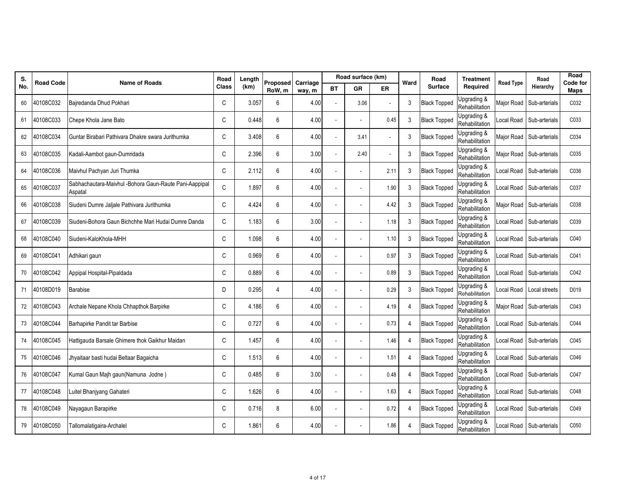| S.  | <b>Road Code</b> | <b>Name of Roads</b>                                              | Road         | Length | Proposed | Carriage |           | Road surface (km)        |           | Ward                   | Road                | <b>Treatment</b>              | Road Type  | Road                       | Road<br>Code for |
|-----|------------------|-------------------------------------------------------------------|--------------|--------|----------|----------|-----------|--------------------------|-----------|------------------------|---------------------|-------------------------------|------------|----------------------------|------------------|
| No. |                  |                                                                   | <b>Class</b> | (km)   | RoW, m   | way, m   | <b>BT</b> | <b>GR</b>                | <b>ER</b> |                        | <b>Surface</b>      | Required                      |            | Hierarchy                  | Maps             |
| 60  | 40108C032        | Bairedanda Dhud Pokhari                                           | C            | 3.057  | 6        | 4.00     |           | 3.06                     |           | 3                      | <b>Black Topped</b> | Jpgrading &<br>Rehabilitation | Major Road | Sub-arterials              | C032             |
| 61  | 40108C033        | Chepe Khola Jane Bato                                             | C            | 0.448  | 6        | 4.00     |           |                          | 0.45      | 3                      | <b>Black Topped</b> | Jpgrading &<br>Rehabilitation |            | Local Road Sub-arterials   | C033             |
| 62  | 40108C034        | Guntar Birabari Pathivara Dhakre swara Jurithumka                 | C            | 3.408  | 6        | 4.00     | J.        | 3.41                     |           | 3                      | <b>Black Topped</b> | Jpgrading &<br>Rehabilitation |            | Major Road Sub-arterials   | C034             |
| 63  | 40108C035        | Kadali-Aambot gaun-Dumridada                                      | C            | 2.396  | 6        | 3.00     |           | 2.40                     |           | 3                      | <b>Black Topped</b> | Jpgrading &<br>Rehabilitation |            | Major Road Sub-arterials   | C035             |
| 64  | 40108C036        | Maivhul Pachyan Juri Thumka                                       | C            | 2.112  | 6        | 4.00     |           | $\overline{\phantom{a}}$ | 2.11      | 3                      | <b>Black Topped</b> | Jpgrading &<br>Rehabilitation | Local Road | Sub-arterials              | C036             |
| 65  | 40108C037        | Sabhachautara-Maivhul -Bohora Gaun-Raute Pani-Aappipal<br>Aspatal | $\mathsf C$  | 1.897  | 6        | 4.00     |           |                          | 1.90      | 3                      | <b>Black Topped</b> | Jpgrading &<br>Rehabilitation | Local Road | Sub-arterials              | C037             |
| 66  | 40108C038        | Siudeni Dumre Jaljale Pathivara Jurithumka                        | $\mathsf{C}$ | 4.424  | 6        | 4.00     |           |                          | 4.42      | 3                      | <b>Black Topped</b> | Jpgrading &<br>Rehabilitation |            | Major Road Sub-arterials   | C038             |
| 67  | 40108C039        | Siudeni-Bohora Gaun Bichchhe Mari Hudai Dumre Danda               | $\mathsf C$  | 1.183  | 6        | 3.00     |           |                          | 1.18      | 3                      | <b>Black Topped</b> | Jpgrading &<br>Rehabilitation |            | Local Road   Sub-arterials | C039             |
| 68  | 40108C040        | Siudeni-KaloKhola-MHH                                             | C            | 1.098  | 6        | 4.00     |           |                          | 1.10      | 3                      | <b>Black Topped</b> | Jpgrading &<br>Rehabilitation | Local Road | Sub-arterials              | C040             |
| 69  | 40108C041        | Adhikari qaun                                                     | $\mathsf{C}$ | 0.969  | 6        | 4.00     |           |                          | 0.97      | 3                      | <b>Black Topped</b> | Jpgrading &<br>Rehabilitation | ocal Road. | Sub-arterials              | C041             |
| 70  | 40108C042        | Appipal Hospital-Pipaldada                                        | C            | 0.889  | 6        | 4.00     |           |                          | 0.89      | 3                      | <b>Black Topped</b> | Jpgrading &<br>Rehabilitation | Local Road | Sub-arterials              | C042             |
| 71  | 40108D019        | Barabise                                                          | D            | 0.295  | 4        | 4.00     |           |                          | 0.29      | 3                      | <b>Black Topped</b> | Jpgrading &<br>Rehabilitation | Local Road | Local streets              | D019             |
| 72  | 40108C043        | Archale Nepane Khola Chhapthok Barpirke                           | C            | 4.186  | 6        | 4.00     |           | $\overline{a}$           | 4.19      | $\overline{4}$         | <b>Black Topped</b> | Jpgrading &<br>Rehabilitation |            | Major Road Sub-arterials   | C043             |
| 73  | 40108C044        | Barhapirke Pandit tar Barbise                                     | C            | 0.727  | 6        | 4.00     |           |                          | 0.73      | $\overline{4}$         | <b>Black Topped</b> | Jpgrading &<br>Rehabilitation | Local Road | Sub-arterials              | C044             |
| 74  | 40108C045        | Hattigauda Barsale Ghimere thok Gaikhur Maidan                    | $\mathsf{C}$ | 1.457  | 6        | 4.00     |           |                          | 1.46      | $\overline{4}$         | <b>Black Topped</b> | Upgrading &<br>Rehabilitation |            | Local Road Sub-arterials   | C045             |
| 75  | 40108C046        | Jhyaitaar basti hudai Beltaar Bagaicha                            | $\mathsf C$  | 1.513  | 6        | 4.00     |           |                          | 1.51      | 4                      | <b>Black Topped</b> | Jpgrading &<br>Rehabilitation |            | Local Road Sub-arterials   | C046             |
| 76  | 40108C047        | Kumal Gaun Majh gaun(Namuna Jodne)                                | C            | 0.485  | 6        | 3.00     |           |                          | 0.48      | $\boldsymbol{\Lambda}$ | <b>Black Topped</b> | Jpgrading &<br>Rehabilitation | Local Road | Sub-arterials              | C047             |
| 77  | 40108C048        | Luitel Bhanjyang Gahateri                                         | C            | 1.626  | 6        | 4.00     |           |                          | 1.63      | $\overline{4}$         | <b>Black Topped</b> | Jpgrading &<br>Rehabilitation | ocal Road  | Sub-arterials              | C048             |
| 78  | 40108C049        | Nayagaun Barapirke                                                | C            | 0.716  | 8        | 6.00     |           | $\overline{a}$           | 0.72      | $\overline{4}$         | <b>Black Topped</b> | Jpgrading &<br>Rehabilitation | Local Road | Sub-arterials              | C049             |
| 79  | 40108C050        | Tallomalatigaira-Archalel                                         | C            | 1.861  | 6        | 4.00     |           |                          | 1.86      | 4                      | <b>Black Topped</b> | Jpgrading &<br>Rehabilitation |            | Local Road   Sub-arterials | C050             |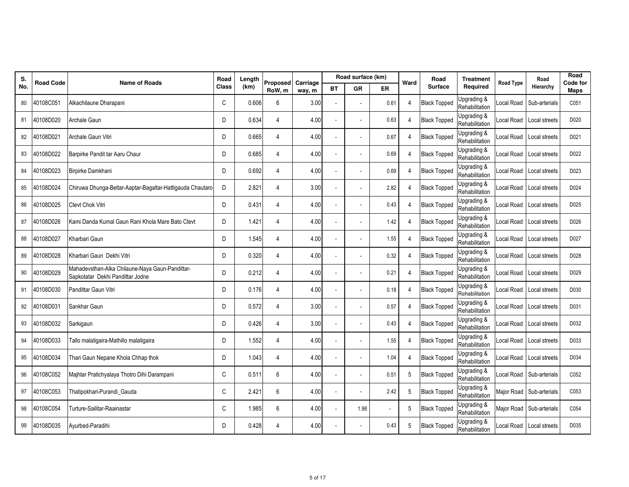| S.  | <b>Road Code</b> | <b>Name of Roads</b>                                                                | Road  | Length | Proposed       | Carriage |           | Road surface (km)        |                          | Ward | Road                | <b>Treatment</b>              | Road Type  | Road                       | Road<br>Code for |
|-----|------------------|-------------------------------------------------------------------------------------|-------|--------|----------------|----------|-----------|--------------------------|--------------------------|------|---------------------|-------------------------------|------------|----------------------------|------------------|
| No. |                  |                                                                                     | Class | (km)   | RoW, m         | way, m   | <b>BT</b> | GR                       | ER                       |      | <b>Surface</b>      | Required                      |            | Hierarchy                  | Maps             |
| 80  | 40108C051        | Alkachilaune Dharapani                                                              | C     | 0.606  | 6              | 3.00     | ä,        |                          | 0.61                     | 4    | <b>Black Topped</b> | Upgrading &<br>Rehabilitation | Local Road | Sub-arterials              | C051             |
| 81  | 40108D020        | Archale Gaun                                                                        | D     | 0.634  | 4              | 4.00     |           |                          | 0.63                     | 4    | <b>Black Topped</b> | Upgrading &<br>Rehabilitation | ocal Road  | Local streets              | D020             |
| 82  | 40108D021        | Archale Gaun Vitri                                                                  | D     | 0.665  | 4              | 4.00     | J.        | $\overline{\phantom{a}}$ | 0.67                     | 4    | <b>Black Topped</b> | Upgrading &<br>Rehabilitation | Local Road | Local streets              | D021             |
| 83  | 40108D022        | Barpirke Pandit tar Aaru Chaur                                                      | D     | 0.685  | 4              | 4.00     |           |                          | 0.69                     | 4    | <b>Black Topped</b> | Jpgrading &<br>Rehabilitation | ocal Road  | Local streets              | D022             |
| 84  | 40108D023        | Birpirke Damkhani                                                                   | D     | 0.692  | 4              | 4.00     | ä,        | $\overline{\phantom{a}}$ | 0.69                     | 4    | <b>Black Topped</b> | Upgrading &<br>Rehabilitation | Local Road | Local streets              | D023             |
| 85  | 40108D024        | Chiruwa Dhunga-Beltar-Aaptar-Bagaltar-Hattigauda Chautaro                           | D     | 2.821  | 4              | 3.00     |           |                          | 2.82                     | 4    | <b>Black Topped</b> | Upgrading &<br>Rehabilitation | ocal Road  | Local streets              | D024             |
| 86  | 40108D025        | Ctevt Chok Vitri                                                                    | D     | 0.431  | 4              | 4.00     | ä,        |                          | 0.43                     | 4    | <b>Black Topped</b> | Upgrading &<br>Rehabilitation | Local Road | Local streets              | D025             |
| 87  | 40108D026        | Kami Danda Kumal Gaun Rani Khola Mare Bato Ctevt                                    | D     | 1.421  | 4              | 4.00     |           |                          | 1.42                     | 4    | <b>Black Topped</b> | Jpgrading &<br>Rehabilitation | Local Road | Local streets              | D026             |
| 88  | 40108D027        | Kharbari Gaun                                                                       | D     | 1.545  | 4              | 4.00     | ä,        | $\overline{a}$           | 1.55                     | 4    | <b>Black Topped</b> | Upgrading &<br>Rehabilitation | Local Road | Local streets              | D027             |
| 89  | 40108D028        | Kharbari Gaun Dekhi Vitri                                                           | D     | 0.320  | 4              | 4.00     |           |                          | 0.32                     | 4    | <b>Black Topped</b> | Upgrading &<br>Rehabilitation | ocal Road  | Local streets              | D028             |
| 90  | 40108D029        | Mahadevsthan-Alka Chilaune-Naya Gaun-Pandittar-<br>Sapkotatar Dekhi Pandittar Jodne | D     | 0.212  | $\overline{4}$ | 4.00     | ÷.        |                          | 0.21                     | 4    | <b>Black Topped</b> | Upgrading &<br>Rehabilitation | Local Road | Local streets              | D029             |
| 91  | 40108D030        | Pandittar Gaun Vitri                                                                | D     | 0.176  | 4              | 4.00     |           |                          | 0.18                     | 4    | <b>Black Topped</b> | Jpgrading &<br>Rehabilitation | Local Road | Local streets              | D030             |
| 92  | 40108D031        | Sankhar Gaun                                                                        | D     | 0.572  | 4              | 3.00     | ä,        | $\overline{a}$           | 0.57                     | 4    | <b>Black Topped</b> | Upgrading &<br>Rehabilitation | Local Road | Local streets              | D031             |
| 93  | 40108D032        | Sarkigaun                                                                           | D     | 0.426  | 4              | 3.00     |           |                          | 0.43                     | 4    | <b>Black Topped</b> | Jpgrading &<br>Rehabilitation | Local Road | Local streets              | D032             |
| 94  | 40108D033        | Tallo malatigaira-Mathillo malatigaira                                              | D     | 1.552  | 4              | 4.00     | J.        |                          | 1.55                     | 4    | <b>Black Topped</b> | Upgrading &<br>Rehabilitation | Local Road | Local streets              | D033             |
| 95  | 40108D034        | Thari Gaun Nepane Khola Chhap thok                                                  | D     | 1.043  | 4              | 4.00     |           |                          | 1.04                     | 4    | <b>Black Topped</b> | Jpgrading &<br>Rehabilitation | Local Road | Local streets              | D034             |
| 96  | 40108C052        | Majhtar Pratichyalaya Thotro Dihi Darampani                                         | C     | 0.511  | 6              | 4.00     | ä,        | $\overline{a}$           | 0.51                     | 5    | <b>Black Topped</b> | Upgrading &<br>Rehabilitation | Local Road | Sub-arterials              | C052             |
| 97  | 40108C053        | Thatipokhari-Purandi Gauda                                                          | C     | 2.421  | 6              | 4.00     |           |                          | 2.42                     | 5    | <b>Black Topped</b> | Jpgrading &<br>Rehabilitation |            | Major Road   Sub-arterials | C053             |
| 98  | 40108C054        | Turture-Sailitar-Raainastar                                                         | C     | 1.985  | 6              | 4.00     | ä,        | 1.98                     | $\overline{\phantom{a}}$ | 5    | <b>Black Topped</b> | Upgrading &<br>Rehabilitation | Major Road | Sub-arterials              | C054             |
| 99  | 40108D035        | Ayurbed-Paradihi                                                                    | D     | 0.428  | 4              | 4.00     |           |                          | 0.43                     | 5    | <b>Black Topped</b> | Jpgrading &<br>Rehabilitation |            | Local Road   Local streets | D035             |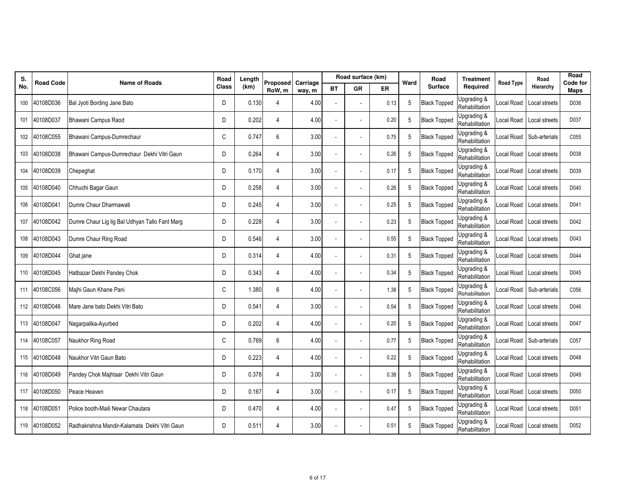| S.  | <b>Road Code</b> | <b>Name of Roads</b>                           | Road         | Length | <b>Proposed</b> | Carriage |           | Road surface (km)        |      | Ward | Road                | <b>Treatment</b>              | Road Type  | Road                       | Road<br>Code for |
|-----|------------------|------------------------------------------------|--------------|--------|-----------------|----------|-----------|--------------------------|------|------|---------------------|-------------------------------|------------|----------------------------|------------------|
| No. |                  |                                                | <b>Class</b> | (km)   | RoW, m          | way, m   | <b>BT</b> | GR                       | ER   |      | <b>Surface</b>      | Required                      |            | Hierarchy                  | Maps             |
| 100 | 40108D036        | Bal Jyoti Bording Jane Bato                    | D            | 0.130  |                 | 4.00     |           |                          | 0.13 | 5    | <b>Black Topped</b> | Jpgrading &<br>Rehabilitation | Local Road | Local streets              | D036             |
| 101 | 40108D037        | Bhawani Campus Raod                            | D            | 0.202  | 4               | 4.00     |           |                          | 0.20 | 5    | <b>Black Topped</b> | Jpgrading &<br>Rehabilitation | ocal Road  | Local streets              | D037             |
| 102 | 40108C055        | Bhawani Campus-Dumrechaur                      | C            | 0.747  | 6               | 3.00     | ÷,        | $\overline{\phantom{a}}$ | 0.75 | 5    | <b>Black Topped</b> | Jpgrading &<br>Rehabilitation | Local Road | Sub-arterials              | C055             |
| 103 | 40108D038        | Bhawani Campus-Dumrechaur Dekhi Vitri Gaun     | D            | 0.264  | 4               | 3.00     |           |                          | 0.26 | 5    | <b>Black Topped</b> | Jpgrading &<br>Rehabilitation | Local Road | Local streets              | D038             |
| 104 | 40108D039        | Chepeghat                                      | D            | 0.170  | 4               | 3.00     | ÷,        | $\overline{\phantom{a}}$ | 0.17 | 5    | <b>Black Topped</b> | Jpgrading &<br>Rehabilitation | Local Road | Local streets              | D039             |
| 105 | 40108D040        | Chhuchi Bagar Gaun                             | D            | 0.258  | 4               | 3.00     |           |                          | 0.26 | 5    | <b>Black Topped</b> | Jpgrading &<br>Rehabilitation | Local Road | Local streets              | D040             |
| 106 | 40108D041        | Dumre Chaur Dharmawati                         | D            | 0.245  | 4               | 3.00     |           |                          | 0.25 | 5    | <b>Black Topped</b> | Upgrading &<br>Rehabilitation | Local Road | Local streets              | D041             |
| 107 | 40108D042        | Dumre Chaur Lig lig Bal Udhyan Tallo Fant Marg | D            | 0.228  | 4               | 3.00     |           |                          | 0.23 | 5    | <b>Black Topped</b> | Jpgrading &<br>Rehabilitation | Local Road | Local streets              | D042             |
| 108 | 40108D043        | Dumre Chaur Ring Road                          | D            | 0.546  | 4               | 3.00     |           | $\overline{a}$           | 0.55 | 5    | <b>Black Topped</b> | Jpgrading &<br>Rehabilitation | Local Road | Local streets              | D043             |
| 109 | 40108D044        | Ghat jane                                      | D            | 0.314  | 4               | 4.00     |           |                          | 0.31 | 5    | <b>Black Topped</b> | Jpgrading &<br>Rehabilitation | Local Road | Local streets              | D044             |
| 110 | 40108D045        | Hatbazar Dekhi Pandey Chok                     | D            | 0.343  | 4               | 4.00     |           |                          | 0.34 | 5    | <b>Black Topped</b> | Upgrading &<br>Rehabilitation | Local Road | Local streets              | D045             |
| 111 | 40108C056        | Majhi Gaun Khane Pani                          | C            | 1.380  | 6               | 4.00     |           |                          | 1.38 | 5    | <b>Black Topped</b> | Jpgrading &<br>Rehabilitation |            | Local Road   Sub-arterials | C056             |
| 112 | 40108D046        | Mare Jane bato Dekhi Vitri Bato                | D            | 0.541  | 4               | 3.00     | ÷,        | $\overline{\phantom{a}}$ | 0.54 | 5    | <b>Black Topped</b> | Upgrading &<br>Rehabilitation | Local Road | Local streets              | D046             |
| 113 | 40108D047        | Nagarpalika-Ayurbed                            | D            | 0.202  | 4               | 4.00     |           |                          | 0.20 | 5    | <b>Black Topped</b> | Jpgrading &<br>Rehabilitation | Local Road | Local streets              | D047             |
| 114 | 40108C057        | Naukhor Ring Road                              | $\mathsf{C}$ | 0.769  | 6               | 4.00     |           | $\blacksquare$           | 0.77 | 5    | <b>Black Topped</b> | Upgrading &<br>Rehabilitation |            | Local Road Sub-arterials   | C057             |
| 115 | 40108D048        | Naukhor Vitri Gaun Bato                        | D            | 0.223  | 4               | 4.00     |           |                          | 0.22 | 5    | <b>Black Topped</b> | Jpgrading &<br>Rehabilitation | Local Road | Local streets              | D048             |
| 116 | 40108D049        | Pandey Chok Majhtaar Dekhi Vitri Gaun          | D            | 0.378  | 4               | 3.00     |           | $\overline{a}$           | 0.38 | 5    | <b>Black Topped</b> | Jpgrading &<br>Rehabilitation | Local Road | Local streets              | D049             |
| 117 | 40108D050        | Peace Heaven                                   | D            | 0.167  | 4               | 3.00     |           |                          | 0.17 | 5    | <b>Black Topped</b> | Jpgrading &<br>Rehabilitation | Local Road | Local streets              | D050             |
| 118 | 40108D051        | Police booth-Maili Newar Chautara              | D            | 0.470  | 4               | 4.00     |           | $\overline{\phantom{a}}$ | 0.47 | 5    | <b>Black Topped</b> | Jpgrading &<br>Rehabilitation | Local Road | Local streets              | D051             |
| 119 | 40108D052        | Radhakrishna Mandir-Kalamata Dekhi Vitri Gaun  | D            | 0.511  | 4               | 3.00     |           |                          | 0.51 | 5    | <b>Black Topped</b> | Jpgrading &<br>Rehabilitation | Local Road | Local streets              | D052             |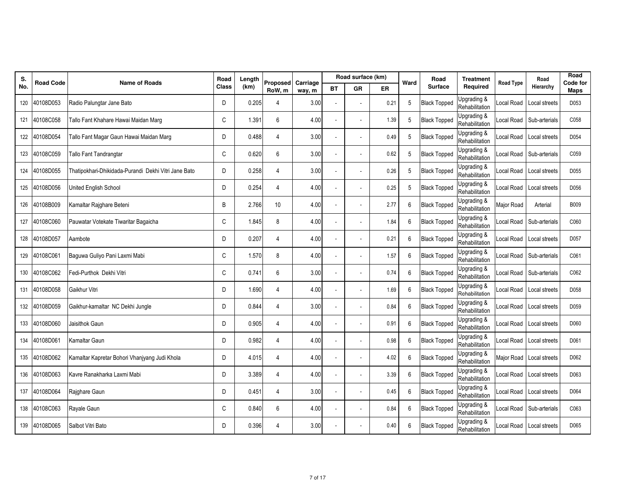| S.  | <b>Road Code</b> | <b>Name of Roads</b>                                 | Road         | Length | Proposed | Carriage |           | Road surface (km)        |      | Ward | Road                | <b>Treatment</b>              | Road Type  | Road                      | Road<br>Code for |
|-----|------------------|------------------------------------------------------|--------------|--------|----------|----------|-----------|--------------------------|------|------|---------------------|-------------------------------|------------|---------------------------|------------------|
| No. |                  |                                                      | <b>Class</b> | (km)   | RoW, m   | way, m   | <b>BT</b> | GR                       | ER   |      | <b>Surface</b>      | Required                      |            | Hierarchy                 | Maps             |
| 120 | 40108D053        | Radio Palungtar Jane Bato                            | D            | 0.205  |          | 3.00     |           |                          | 0.21 | 5    | <b>Black Topped</b> | Jpgrading &<br>Rehabilitation | Local Road | Local streets             | D053             |
| 121 | 40108C058        | Tallo Fant Khahare Hawai Maidan Marg                 | C            | 1.391  | 6        | 4.00     |           |                          | 1.39 | 5    | <b>Black Topped</b> | Jpgrading &<br>Rehabilitation |            | Local Road Sub-arterials  | C058             |
| 122 | 40108D054        | Tallo Fant Magar Gaun Hawai Maidan Marg              | D            | 0.488  | 4        | 3.00     |           |                          | 0.49 | 5    | <b>Black Topped</b> | Jpgrading &<br>Rehabilitation | Local Road | Local streets             | D054             |
| 123 | 40108C059        | Tallo Fant Tandrangtar                               | C            | 0.620  | 6        | 3.00     |           |                          | 0.62 | 5    | <b>Black Topped</b> | Jpgrading &<br>Rehabilitation |            | Local Road Sub-arterials  | C059             |
| 124 | 40108D055        | Thatipokhari-Dhikidada-Purandi Dekhi Vitri Jane Bato | D            | 0.258  | 4        | 3.00     |           | $\overline{\phantom{a}}$ | 0.26 | 5    | <b>Black Topped</b> | Jpgrading &<br>Rehabilitation | Local Road | Local streets             | D055             |
| 125 | 40108D056        | United English School                                | D            | 0.254  | 4        | 4.00     |           |                          | 0.25 | 5    | <b>Black Topped</b> | Jpgrading &<br>Rehabilitation | Local Road | Local streets             | D056             |
| 126 | 40108B009        | Kamaltar Rajghare Beteni                             | B            | 2.766  | 10       | 4.00     |           |                          | 2.77 | 6    | <b>Black Topped</b> | Jpgrading &<br>Rehabilitation | Major Road | Arterial                  | <b>B009</b>      |
| 127 | 40108C060        | Pauwatar Votekate Tiwaritar Bagaicha                 | $\mathsf C$  | 1.845  | 8        | 4.00     |           |                          | 1.84 | 6    | <b>Black Topped</b> | Jpgrading &<br>Rehabilitation | Local Road | Sub-arterials             | C060             |
| 128 | 40108D057        | Aambote                                              | D            | 0.207  | 4        | 4.00     |           | $\overline{a}$           | 0.21 | 6    | <b>Black Topped</b> | Jpgrading &<br>Rehabilitation | Local Road | Local streets             | D057             |
| 129 | 40108C061        | Baguwa Guliyo Pani Laxmi Mabi                        | C            | 1.570  | 8        | 4.00     |           |                          | 1.57 | 6    | <b>Black Topped</b> | Jpgrading &<br>Rehabilitation |            | ocal Road   Sub-arterials | C061             |
| 130 | 40108C062        | Fedi-Purthok Dekhi Vitri                             | C            | 0.741  | 6        | 3.00     |           | $\overline{a}$           | 0.74 | 6    | <b>Black Topped</b> | Upgrading &<br>Rehabilitation | Local Road | Sub-arterials             | C062             |
| 131 | 40108D058        | Gaikhur Vitri                                        | D            | 1.690  | 4        | 4.00     |           |                          | 1.69 | 6    | <b>Black Topped</b> | Jpgrading &<br>Rehabilitation | Local Road | Local streets             | D058             |
| 132 | 40108D059        | Gaikhur-kamaltar NC Dekhi Jungle                     | D            | 0.844  | 4        | 3.00     | ÷,        | $\overline{\phantom{a}}$ | 0.84 | 6    | <b>Black Topped</b> | Upgrading &<br>Rehabilitation | Local Road | Local streets             | D059             |
| 133 | 40108D060        | Jaisithok Gaun                                       | D            | 0.905  | 4        | 4.00     |           |                          | 0.91 | 6    | <b>Black Topped</b> | Jpgrading &<br>Rehabilitation | Local Road | Local streets             | D060             |
| 134 | 40108D061        | Kamaltar Gaun                                        | D            | 0.982  | 4        | 4.00     |           |                          | 0.98 | 6    | <b>Black Topped</b> | Upgrading &<br>Rehabilitation | Local Road | Local streets             | D061             |
| 135 | 40108D062        | Kamaltar Kapretar Bohori Vhanjyang Judi Khola        | D            | 4.015  | 4        | 4.00     |           |                          | 4.02 | 6    | <b>Black Topped</b> | Jpgrading &<br>Rehabilitation | Major Road | Local streets             | D062             |
| 136 | 40108D063        | Kavre Ranakharka Laxmi Mabi                          | D            | 3.389  | 4        | 4.00     |           | $\overline{a}$           | 3.39 | 6    | <b>Black Topped</b> | Jpgrading &<br>Rehabilitation | Local Road | Local streets             | D063             |
| 137 | 40108D064        | Rajghare Gaun                                        | D            | 0.451  | 4        | 3.00     |           |                          | 0.45 | 6    | <b>Black Topped</b> | Jpgrading &<br>Rehabilitation | Local Road | Local streets             | D064             |
| 138 | 40108C063        | Rayale Gaun                                          | C            | 0.840  | 6        | 4.00     |           | $\overline{\phantom{a}}$ | 0.84 | 6    | <b>Black Topped</b> | Jpgrading &<br>Rehabilitation | Local Road | Sub-arterials             | C063             |
| 139 | 40108D065        | Salbot Vitri Bato                                    | D            | 0.396  | 4        | 3.00     |           |                          | 0.40 | 6    | <b>Black Topped</b> | Jpgrading &<br>Rehabilitation | Local Road | Local streets             | D065             |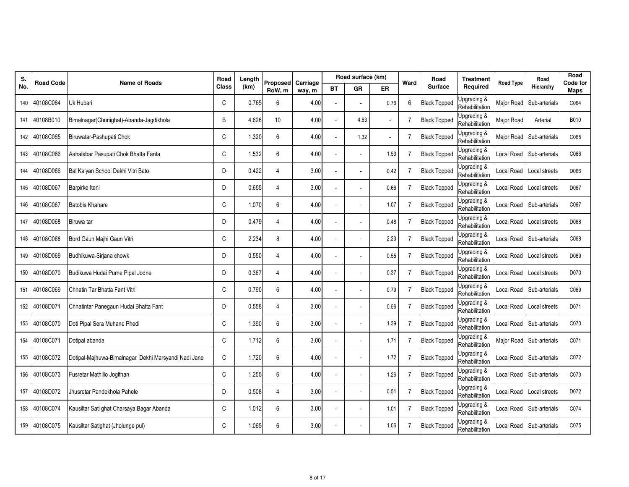| S.  | <b>Road Code</b> | <b>Name of Roads</b>                                 | Road         | Length | Proposed | Carriage |           | Road surface (km)        |                          | Ward           | Road                | <b>Treatment</b>                                    | Road Type  | Road                       | Road<br>Code for |
|-----|------------------|------------------------------------------------------|--------------|--------|----------|----------|-----------|--------------------------|--------------------------|----------------|---------------------|-----------------------------------------------------|------------|----------------------------|------------------|
| No. |                  |                                                      | <b>Class</b> | (km)   | RoW, m   | way, m   | <b>BT</b> | GR                       | ER                       |                | <b>Surface</b>      | Required                                            |            | Hierarchy                  | Maps             |
| 140 | 40108C064        | Uk Hubari                                            | C            | 0.765  | 6        | 4.00     |           |                          | 0.76                     | 6              | <b>Black Topped</b> | Jpgrading &<br>Rehabilitation                       | Major Road | Sub-arterials              | C064             |
| 141 | 40108B010        | Bimalnagar(Chunighat)-Abanda-Jagdikhola              | B            | 4.626  | 10       | 4.00     |           | 4.63                     | $\overline{\phantom{a}}$ | 7              | <b>Black Topped</b> | Jpgrading &<br>Rehabilitation                       | Major Road | Arterial                   | B010             |
| 142 | 40108C065        | Biruwatar-Pashupati Chok                             | C            | 1.320  | 6        | 4.00     |           | 1.32                     | $\sim$                   | 7              | <b>Black Topped</b> | Jpgrading &<br>Rehabilitation                       | Major Road | Sub-arterials              | C065             |
| 143 | 40108C066        | Aahalebar Pasupati Chok Bhatta Fanta                 | C            | 1.532  | 6        | 4.00     |           |                          | 1.53                     | 7              | <b>Black Topped</b> | Jpgrading $\overline{\mathbf{g}}$<br>Rehabilitation | Local Road | Sub-arterials              | C066             |
| 144 | 40108D066        | Bal Kalyan School Dekhi Vitri Bato                   | D            | 0.422  | 4        | 3.00     |           | $\overline{\phantom{a}}$ | 0.42                     | 7              | <b>Black Topped</b> | Jpgrading &<br>Rehabilitation                       | Local Road | Local streets              | D066             |
| 145 | 40108D067        | Barpirke Iteni                                       | D            | 0.655  | 4        | 3.00     |           |                          | 0.66                     | $\overline{7}$ | <b>Black Topped</b> | Jpgrading &<br>Rehabilitation                       |            | Local Road   Local streets | D067             |
| 146 | 40108C067        | <b>Batobis Khahare</b>                               | $\mathsf{C}$ | 1.070  | 6        | 4.00     |           |                          | 1.07                     | $\overline{7}$ | <b>Black Topped</b> | Jpgrading &<br>Rehabilitation                       | Local Road | Sub-arterials              | C067             |
| 147 | 40108D068        | Biruwa tar                                           | D            | 0.479  | 4        | 4.00     |           |                          | 0.48                     | $\overline{7}$ | <b>Black Topped</b> | Jpgrading &<br>Rehabilitation                       | Local Road | Local streets              | D068             |
| 148 | 40108C068        | Bord Gaun Majhi Gaun Vitri                           | C            | 2.234  | 8        | 4.00     |           | ÷.                       | 2.23                     | $\overline{7}$ | <b>Black Topped</b> | Jpgrading &<br>Rehabilitation                       | Local Road | Sub-arterials              | C068             |
| 149 | 40108D069        | Budhikuwa-Sirjana chowk                              | D            | 0.550  | 4        | 4.00     |           |                          | 0.55                     | 7              | <b>Black Topped</b> | Jpgrading &<br>Rehabilitation                       | Local Road | Local streets              | D069             |
| 150 | 40108D070        | Budikuwa Hudai Purne Pipal Jodne                     | D            | 0.367  | 4        | 4.00     |           |                          | 0.37                     | 7              | <b>Black Topped</b> | Jpgrading &<br>Rehabilitation                       | Local Road | Local streets              | D070             |
| 151 | 40108C069        | Chhatin Tar Bhatta Fant Vitri                        | C            | 0.790  | 6        | 4.00     |           |                          | 0.79                     | $\overline{7}$ | <b>Black Topped</b> | Jpgrading &<br>Rehabilitation                       |            | Local Road Sub-arterials   | C069             |
| 152 | 40108D071        | Chhatintar Panegaun Hudai Bhatta Fant                | D            | 0.558  | 4        | 3.00     |           | $\overline{\phantom{a}}$ | 0.56                     | 7              | <b>Black Topped</b> | Jpgrading &<br>Rehabilitation                       | Local Road | Local streets              | D071             |
| 153 | 40108C070        | Doti Pipal Sera Muhane Phedi                         | C            | 1.390  | 6        | 3.00     |           |                          | 1.39                     | 7              | <b>Black Topped</b> | Jpgrading &<br>Rehabilitation                       | Local Road | Sub-arterials              | C070             |
| 154 | 40108C071        | Dotipal abanda                                       | $\mathsf{C}$ | 1.712  | 6        | 3.00     |           | ÷,                       | 1.71                     | $\overline{7}$ | <b>Black Topped</b> | Jpgrading &<br>Rehabilitation                       |            | Major Road Sub-arterials   | C071             |
| 155 | 40108C072        | Dotipal-Majhuwa-Bimalnagar Dekhi Marsyandi Nadi Jane | C            | 1.720  | 6        | 4.00     |           |                          | 1.72                     | $\overline{7}$ | <b>Black Topped</b> | Jpgrading &<br>Rehabilitation                       |            | Local Road Sub-arterials   | C072             |
| 156 | 40108C073        | Fusretar Mathillo Jogithan                           | C            | 1.255  | 6        | 4.00     |           | ÷.                       | 1.26                     | $\overline{7}$ | <b>Black Topped</b> | Jpgrading &<br>Rehabilitation                       | Local Road | Sub-arterials              | C073             |
| 157 | 40108D072        | Jhusretar Pandekhola Pahele                          | D            | 0.508  | 4        | 3.00     |           |                          | 0.51                     | $\overline{7}$ | <b>Black Topped</b> | Jpgrading &<br>Rehabilitation                       | Local Road | Local streets              | D072             |
| 158 | 40108C074        | Kausiltar Sati ghat Charsaya Bagar Abanda            | C            | 1.012  | 6        | 3.00     |           | $\sim$                   | 1.01                     | $\overline{7}$ | <b>Black Topped</b> | Jpgrading &<br>Rehabilitation                       | Local Road | Sub-arterials              | C074             |
| 159 | 40108C075        | Kausiltar Satighat (Jholunge pul)                    | $\mathsf{C}$ | 1.065  | 6        | 3.00     |           |                          | 1.06                     | $\overline{7}$ | <b>Black Topped</b> | Jpgrading &<br>Rehabilitation                       |            | Local Road Sub-arterials   | C075             |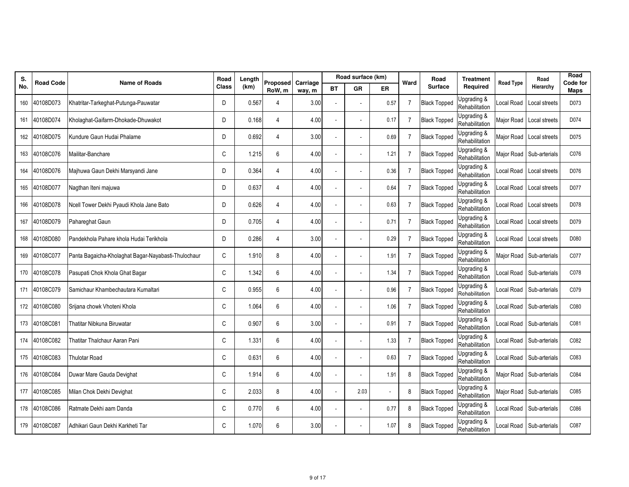| S.  | <b>Road Code</b> | <b>Name of Roads</b>                                | Road         | Length | <b>Proposed</b> | Carriage |           | Road surface (km) |           | Ward           | Road                | <b>Treatment</b>              | Road Type  | Road                       | Road<br>Code for |
|-----|------------------|-----------------------------------------------------|--------------|--------|-----------------|----------|-----------|-------------------|-----------|----------------|---------------------|-------------------------------|------------|----------------------------|------------------|
| No. |                  |                                                     | <b>Class</b> | (km)   | RoW, m          | way, m   | <b>BT</b> | <b>GR</b>         | <b>ER</b> |                | <b>Surface</b>      | Required                      |            | Hierarchy                  | Maps             |
| 160 | 40108D073        | Khatritar-Tarkeghat-Putunga-Pauwatar                | D            | 0.567  |                 | 3.00     |           |                   | 0.57      | $\overline{7}$ | <b>Black Topped</b> | Jpgrading &<br>Rehabilitation | Local Road | Local streets              | D073             |
| 161 | 40108D074        | Kholaghat-Gaifarm-Dhokade-Dhuwakot                  | D            | 0.168  | 4               | 4.00     |           |                   | 0.17      | $\overline{7}$ | <b>Black Topped</b> | Jpgrading &<br>Rehabilitation |            | Major Road Local streets   | D074             |
| 162 | 40108D075        | Kundure Gaun Hudai Phalame                          | D.           | 0.692  | 4               | 3.00     |           |                   | 0.69      | $\overline{7}$ | <b>Black Topped</b> | Jpgrading &<br>Rehabilitation | Major Road | Local streets              | D075             |
| 163 | 40108C076        | Mailitar-Banchare                                   | C            | 1.215  | 6               | 4.00     |           |                   | 1.21      | $\overline{7}$ | <b>Black Topped</b> | Jpgrading &<br>Rehabilitation |            | Major Road Sub-arterials   | C076             |
| 164 | 40108D076        | Majhuwa Gaun Dekhi Marsyandi Jane                   | D            | 0.364  | 4               | 4.00     |           |                   | 0.36      | $\overline{7}$ | <b>Black Topped</b> | Jpgrading &<br>Rehabilitation | Local Road | Local streets              | D076             |
| 165 | 40108D077        | Nagthan Iteni majuwa                                | D.           | 0.637  | 4               | 4.00     |           |                   | 0.64      | $\overline{7}$ | <b>Black Topped</b> | Jpgrading &<br>Rehabilitation | Local Road | Local streets              | D077             |
| 166 | 40108D078        | Ncell Tower Dekhi Pyaudi Khola Jane Bato            | D            | 0.626  | 4               | 4.00     |           |                   | 0.63      | $\overline{7}$ | <b>Black Topped</b> | Jpgrading &<br>Rehabilitation | Local Road | Local streets              | D078             |
| 167 | 40108D079        | Pahareghat Gaun                                     | D            | 0.705  | 4               | 4.00     |           |                   | 0.71      | $\overline{7}$ | <b>Black Topped</b> | Jpgrading &<br>Rehabilitation | Local Road | Local streets              | D079             |
| 168 | 40108D080        | Pandekhola Pahare khola Hudai Terikhola             | D            | 0.286  | 4               | 3.00     |           |                   | 0.29      | 7              | <b>Black Topped</b> | Jpgrading &<br>Rehabilitation | Local Road | Local streets              | D080             |
| 169 | 40108C077        | Panta Bagaicha-Kholaghat Bagar-Nayabasti-Thulochaur | C            | 1.910  | 8               | 4.00     |           |                   | 1.91      | 7              | <b>Black Topped</b> | Jpgrading &<br>Rehabilitation |            | Major Road Sub-arterials   | C077             |
| 170 | 40108C078        | Pasupati Chok Khola Ghat Bagar                      | C            | 1.342  | 6               | 4.00     |           |                   | 1.34      | $\overline{7}$ | <b>Black Topped</b> | Jpgrading &<br>Rehabilitation | Local Road | Sub-arterials              | C078             |
| 171 | 40108C079        | Samichaur Khambechautara Kumaltari                  | C            | 0.955  | 6               | 4.00     |           |                   | 0.96      | 7              | <b>Black Topped</b> | Jpgrading &<br>Rehabilitation |            | Local Road Sub-arterials   | C079             |
| 172 | 40108C080        | Srijana chowk Vhoteni Khola                         | C            | 1.064  | 6               | 4.00     |           |                   | 1.06      | 7              | <b>Black Topped</b> | Jpgrading &<br>Rehabilitation | Local Road | Sub-arterials              | C080             |
| 173 | 40108C081        | Thatitar Nibkuna Biruwatar                          | C            | 0.907  | 6               | 3.00     |           |                   | 0.91      | 7              | <b>Black Topped</b> | Jpgrading &<br>Rehabilitation | Local Road | Sub-arterials              | C081             |
| 174 | 40108C082        | Thatitar Thalchaur Aaran Pani                       | C            | 1.331  | 6               | 4.00     |           |                   | 1.33      | $\overline{7}$ | <b>Black Topped</b> | Jpgrading &<br>Rehabilitation | Local Road | Sub-arterials              | C082             |
| 175 | 40108C083        | <b>Thulotar Road</b>                                | C            | 0.631  | 6               | 4.00     |           |                   | 0.63      | $\overline{7}$ | <b>Black Topped</b> | Jpgrading &<br>Rehabilitation |            | Local Road   Sub-arterials | C083             |
| 176 | 40108C084        | Duwar Mare Gauda Devighat                           | C            | 1.914  | 6               | 4.00     |           |                   | 1.91      | 8              | <b>Black Topped</b> | Jpgrading &<br>Rehabilitation | Major Road | Sub-arterials              | C084             |
| 177 | 40108C085        | Milan Chok Dekhi Devighat                           | C            | 2.033  | 8               | 4.00     |           | 2.03              | $\sim$    | 8              | <b>Black Topped</b> | Jpgrading &<br>Rehabilitation |            | Major Road Sub-arterials   | C085             |
| 178 | 40108C086        | Ratmate Dekhi aam Danda                             | C            | 0.770  | 6               | 4.00     |           |                   | 0.77      | 8              | <b>Black Topped</b> | Jpgrading &<br>Rehabilitation | Local Road | Sub-arterials              | C086             |
| 179 | 40108C087        | Adhikari Gaun Dekhi Karkheti Tar                    | $\mathsf{C}$ | 1.070  | 6               | 3.00     |           |                   | 1.07      | 8              | <b>Black Topped</b> | Jpgrading &<br>Rehabilitation |            | Local Road Sub-arterials   | C087             |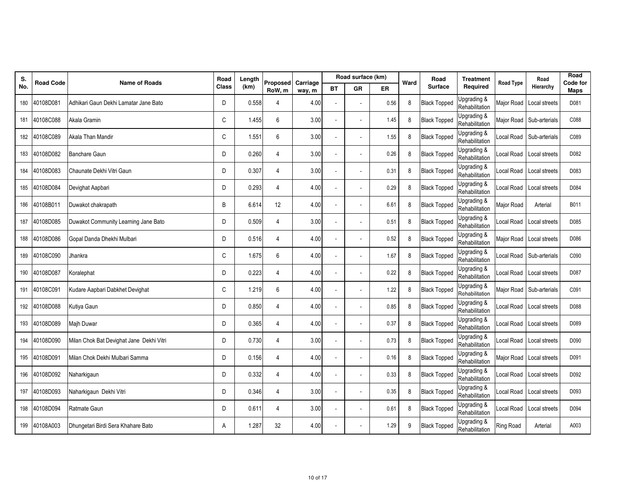| S.  | <b>Road Code</b> | <b>Name of Roads</b>                     | Road  | Length | <b>Proposed</b> | Carriage |           | Road surface (km)        |      | Ward | Road                | <b>Treatment</b>              | Road Type  | Road                       | Road<br>Code for |
|-----|------------------|------------------------------------------|-------|--------|-----------------|----------|-----------|--------------------------|------|------|---------------------|-------------------------------|------------|----------------------------|------------------|
| No. |                  |                                          | Class | (km)   | RoW, m          | way, m   | <b>BT</b> | GR                       | ER   |      | <b>Surface</b>      | Required                      |            | Hierarchy                  | Maps             |
| 180 | 40108D081        | Adhikari Gaun Dekhi Lamatar Jane Bato    | D     | 0.558  |                 | 4.00     | ä,        | $\overline{\phantom{a}}$ | 0.56 | 8    | <b>Black Topped</b> | Upgrading &<br>Rehabilitation | Major Road | Local streets              | D081             |
| 181 | 40108C088        | Akala Gramin                             | C     | 1.455  | 6               | 3.00     |           |                          | 1.45 | 8    | <b>Black Topped</b> | Upgrading &<br>Rehabilitation |            | Major Road Sub-arterials   | C088             |
| 182 | 40108C089        | Akala Than Mandir                        | C     | 1.551  | 6               | 3.00     | ÷,        | $\overline{\phantom{a}}$ | 1.55 | 8    | <b>Black Topped</b> | Upgrading &<br>Rehabilitation | Local Road | Sub-arterials              | C089             |
| 183 | 40108D082        | Banchare Gaun                            | D     | 0.260  | 4               | 3.00     |           |                          | 0.26 | 8    | <b>Black Topped</b> | Jpgrading &<br>Rehabilitation | Local Road | Local streets              | D082             |
| 184 | 40108D083        | Chaunate Dekhi Vitri Gaun                | D     | 0.307  | 4               | 3.00     | J.        | $\overline{\phantom{a}}$ | 0.31 | 8    | <b>Black Topped</b> | Upgrading &<br>Rehabilitation | Local Road | Local streets              | D083             |
| 185 | 40108D084        | Devighat Aapbari                         | D     | 0.293  | $\overline{4}$  | 4.00     |           |                          | 0.29 | 8    | <b>Black Topped</b> | Upgrading &<br>Rehabilitation | ocal Road  | Local streets              | D084             |
| 186 | 40108B011        | Duwakot chakrapath                       | B     | 6.614  | 12              | 4.00     | ä,        |                          | 6.61 | 8    | <b>Black Topped</b> | Upgrading &<br>Rehabilitation | Major Road | Arterial                   | B011             |
| 187 | 40108D085        | Duwakot Community Learning Jane Bato     | D     | 0.509  | 4               | 3.00     |           |                          | 0.51 | 8    | <b>Black Topped</b> | Jpgrading &<br>Rehabilitation | Local Road | Local streets              | D085             |
| 188 | 40108D086        | Gopal Danda Dhekhi Mulbari               | D     | 0.516  | $\overline{4}$  | 4.00     | ä,        | $\overline{\phantom{a}}$ | 0.52 | 8    | <b>Black Topped</b> | Upgrading &<br>Rehabilitation | Major Road | Local streets              | D086             |
| 189 | 40108C090        | Jhankra                                  | C     | 1.675  | 6               | 4.00     |           |                          | 1.67 | 8    | <b>Black Topped</b> | Jpgrading &<br>Rehabilitation |            | Local Road Sub-arterials   | C090             |
| 190 | 40108D087        | Koralephat                               | D     | 0.223  | 4               | 4.00     | ä,        | $\overline{a}$           | 0.22 | 8    | <b>Black Topped</b> | Upgrading &<br>Rehabilitation | Local Road | Local streets              | D087             |
| 191 | 40108C091        | Kudare Aapbari Dabkhet Devighat          | C     | 1.219  | 6               | 4.00     |           |                          | 1.22 | 8    | <b>Black Topped</b> | Jpgrading &<br>Rehabilitation |            | Major Road   Sub-arterials | C091             |
| 192 | 40108D088        | Kutiya Gaun                              | D     | 0.850  | 4               | 4.00     | ä,        | $\overline{\phantom{a}}$ | 0.85 | 8    | <b>Black Topped</b> | Upgrading &<br>Rehabilitation | Local Road | Local streets              | D088             |
| 193 | 40108D089        | Maih Duwar                               | D     | 0.365  | 4               | 4.00     |           |                          | 0.37 | 8    | <b>Black Topped</b> | Jpgrading &<br>Rehabilitation | Local Road | Local streets              | D089             |
| 194 | 40108D090        | Milan Chok Bat Devighat Jane Dekhi Vitri | D     | 0.730  | 4               | 3.00     | J.        | $\blacksquare$           | 0.73 | 8    | <b>Black Topped</b> | Upgrading &<br>Rehabilitation | Local Road | Local streets              | D090             |
| 195 | 40108D091        | Milan Chok Dekhi Mulbari Samma           | D     | 0.156  | $\overline{4}$  | 4.00     |           |                          | 0.16 | 8    | <b>Black Topped</b> | Jpgrading &<br>Rehabilitation | Major Road | Local streets              | D091             |
| 196 | 40108D092        | Naharkigaun                              | D     | 0.332  | 4               | 4.00     | ä,        | $\overline{a}$           | 0.33 | 8    | <b>Black Topped</b> | Upgrading &<br>Rehabilitation | Local Road | Local streets              | D092             |
| 197 | 40108D093        | Naharkigaun Dekhi Vitri                  | D     | 0.346  | 4               | 3.00     |           |                          | 0.35 | 8    | <b>Black Topped</b> | Jpgrading &<br>Rehabilitation | Local Road | Local streets              | D093             |
| 198 | 40108D094        | Ratmate Gaun                             | D     | 0.611  | 4               | 3.00     | ä,        | $\overline{\phantom{a}}$ | 0.61 | 8    | <b>Black Topped</b> | Upgrading &<br>Rehabilitation | Local Road | Local streets              | D094             |
|     | 199 40108A003    | Dhungetari Birdi Sera Khahare Bato       | A     | 1.287  | 32              | 4.00     |           |                          | 1.29 | 9    | <b>Black Topped</b> | Jpgrading &<br>Rehabilitation | Ring Road  | Arterial                   | A003             |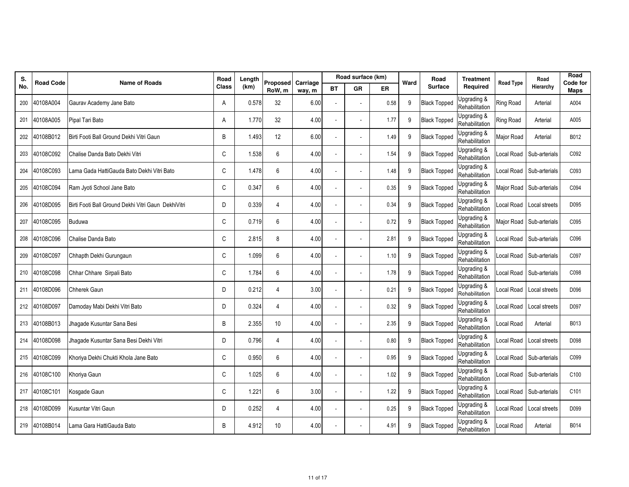| S.  | <b>Road Code</b> | <b>Name of Roads</b>                                | Road         | Length | Proposed       | Carriage |           | Road surface (km) |           | Ward | Road                | <b>Treatment</b>              | Road Type        | Road                       | Road<br>Code for |
|-----|------------------|-----------------------------------------------------|--------------|--------|----------------|----------|-----------|-------------------|-----------|------|---------------------|-------------------------------|------------------|----------------------------|------------------|
| No. |                  |                                                     | <b>Class</b> | (km)   | RoW, m         | way, m   | <b>BT</b> | GR                | <b>ER</b> |      | <b>Surface</b>      | Required                      |                  | Hierarchy                  | Maps             |
| 200 | 40108A004        | Gaurav Academy Jane Bato                            | Α            | 0.578  | 32             | 6.00     |           | $\sim$            | 0.58      | 9    | <b>Black Topped</b> | Upgrading &<br>Rehabilitation | <b>Ring Road</b> | Arterial                   | A004             |
| 201 | 40108A005        | Pipal Tari Bato                                     | A            | 1.770  | 32             | 4.00     |           | ÷.                | 1.77      | 9    | <b>Black Topped</b> | Jpgrading &<br>Rehabilitation | Ring Road        | Arterial                   | A005             |
| 202 | 40108B012        | Birti Footi Ball Ground Dekhi Vitri Gaun            | B            | 1.493  | 12             | 6.00     |           | $\sim$            | 1.49      | 9    | <b>Black Topped</b> | Upgrading &<br>Rehabilitation | Major Road       | Arterial                   | B012             |
| 203 | 40108C092        | Chalise Danda Bato Dekhi Vitri                      | C            | 1.538  | 6              | 4.00     |           |                   | 1.54      | 9    | <b>Black Topped</b> | Jpgrading &<br>Rehabilitation | ocal Road        | Sub-arterials              | C092             |
| 204 | 40108C093        | Lama Gada HattiGauda Bato Dekhi Vitri Bato          | C            | 1.478  | 6              | 4.00     |           | $\sim$            | 1.48      | 9    | <b>Black Topped</b> | Upgrading &<br>Rehabilitation | Local Road       | Sub-arterials              | C093             |
| 205 | 40108C094        | Ram Jyoti School Jane Bato                          | C            | 0.347  | 6              | 4.00     |           |                   | 0.35      | 9    | <b>Black Topped</b> | Jpgrading &<br>Rehabilitation |                  | Major Road Sub-arterials   | C094             |
| 206 | 40108D095        | Birti Footi Ball Ground Dekhi Vitri Gaun DekhiVitri | D            | 0.339  | 4              | 4.00     |           | $\sim$            | 0.34      | 9    | <b>Black Topped</b> | Upgrading &<br>Rehabilitation | Local Road       | Local streets              | D095             |
| 207 | 40108C095        | <b>Buduwa</b>                                       | C            | 0.719  | 6              | 4.00     |           |                   | 0.72      | 9    | <b>Black Topped</b> | Jpgrading &<br>Rehabilitation |                  | Major Road   Sub-arterials | C095             |
| 208 | 40108C096        | Chalise Danda Bato                                  | C            | 2.815  | 8              | 4.00     | ÷.        | ÷.                | 2.81      | 9    | <b>Black Topped</b> | Jpgrading &<br>Rehabilitation | Local Road       | Sub-arterials              | C096             |
| 209 | 40108C097        | Chhapth Dekhi Gurungaun                             | C            | 1.099  | 6              | 4.00     |           |                   | 1.10      | 9    | <b>Black Topped</b> | Jpgrading &<br>Rehabilitation |                  | Local Road Sub-arterials   | C097             |
| 210 | 40108C098        | Chhar Chhare Sirpali Bato                           | C            | 1.784  | 6              | 4.00     |           | $\sim$            | 1.78      | 9    | <b>Black Topped</b> | Upgrading &<br>Rehabilitation | ocal Road        | Sub-arterials              | C098             |
| 211 | 40108D096        | Chherek Gaun                                        | D            | 0.212  | 4              | 3.00     |           |                   | 0.21      | 9    | <b>Black Topped</b> | Jpgrading &<br>Rehabilitation | ocal Road        | Local streets              | D096             |
| 212 | 40108D097        | Damoday Mabi Dekhi Vitri Bato                       | D            | 0.324  | 4              | 4.00     |           | $\sim$            | 0.32      | 9    | <b>Black Topped</b> | Upgrading &<br>Rehabilitation | Local Road       | Local streets              | D097             |
| 213 | 40108B013        | Jhagade Kusuntar Sana Besi                          | B            | 2.355  | 10             | 4.00     |           |                   | 2.35      | 9    | <b>Black Topped</b> | Jpgrading &<br>Rehabilitation | Local Road       | Arterial                   | B013             |
| 214 | 40108D098        | Jhagade Kusuntar Sana Besi Dekhi Vitri              | D            | 0.796  | 4              | 4.00     |           | $\sim$            | 0.80      | 9    | <b>Black Topped</b> | Upgrading &<br>Rehabilitation | Local Road       | Local streets              | D098             |
| 215 | 40108C099        | Khoriya Dekhi Chukti Khola Jane Bato                | C            | 0.950  | 6              | 4.00     |           |                   | 0.95      | 9    | <b>Black Topped</b> | Jpgrading &<br>Rehabilitation |                  | Local Road Sub-arterials   | C099             |
| 216 | 40108C100        | Khoriva Gaun                                        | C            | 1.025  | 6              | 4.00     |           | ÷.                | 1.02      | 9    | <b>Black Topped</b> | Upgrading &<br>Rehabilitation | Local Road       | Sub-arterials              | C100             |
| 217 | 40108C101        | Kosgade Gaun                                        | C            | 1.221  | 6              | 3.00     |           |                   | 1.22      | 9    | <b>Black Topped</b> | Jpgrading &<br>Rehabilitation | ocal Road        | Sub-arterials              | C101             |
| 218 | 40108D099        | Kusuntar Vitri Gaun                                 | D            | 0.252  | $\overline{4}$ | 4.00     |           | $\sim$            | 0.25      | 9    | <b>Black Topped</b> | Jpgrading &<br>Rehabilitation | Local Road       | Local streets              | D099             |
| 219 | 40108B014        | Lama Gara HattiGauda Bato                           | B            | 4.912  | 10             | 4.00     |           |                   | 4.91      | 9    | <b>Black Topped</b> | Jpgrading &<br>Rehabilitation | Local Road       | Arterial                   | B014             |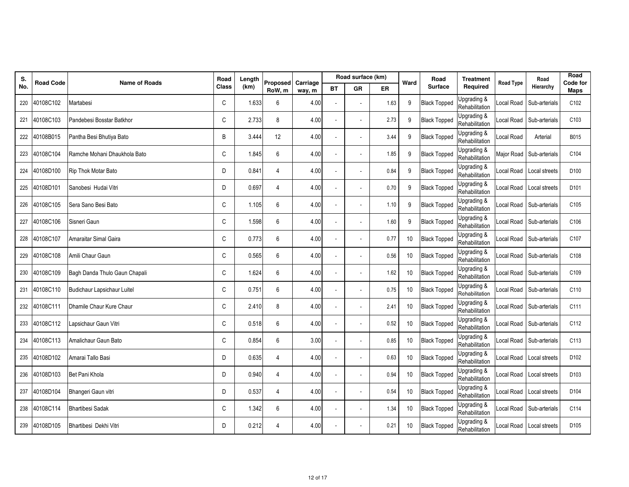| S.  | <b>Road Code</b> | <b>Name of Roads</b>          | Road         | Length | Proposed       | Carriage |                          | Road surface (km)        |      | Ward            | Road                | <b>Treatment</b>              | <b>Road Type</b> | Road                     | Road<br>Code for |
|-----|------------------|-------------------------------|--------------|--------|----------------|----------|--------------------------|--------------------------|------|-----------------|---------------------|-------------------------------|------------------|--------------------------|------------------|
| No. |                  |                               | <b>Class</b> | (km)   | RoW, m         | way, m   | <b>BT</b>                | GR                       | ER   |                 | <b>Surface</b>      | Required                      |                  | Hierarchy                | <b>Maps</b>      |
| 220 | 40108C102        | Martabesi                     | C            | 1.633  | 6              | 4.00     |                          | $\sim$                   | 1.63 | 9               | <b>Black Topped</b> | Upgrading &<br>Rehabilitation | ocal Road        | Sub-arterials            | C102             |
| 221 | 40108C103        | Pandebesi Bosstar Batkhor     | C            | 2.733  | 8              | 4.00     |                          | ÷.                       | 2.73 | 9               | <b>Black Topped</b> | Upgrading &<br>Rehabilitation | ocal Road        | Sub-arterials            | C103             |
| 222 | 40108B015        | Pantha Besi Bhutiya Bato      | B            | 3.444  | 12             | 4.00     |                          | $\sim$                   | 3.44 | 9               | <b>Black Topped</b> | Upgrading &<br>Rehabilitation | ocal Road        | Arterial                 | B015             |
| 223 | 40108C104        | Ramche Mohani Dhaukhola Bato  | C            | 1.845  | 6              | 4.00     |                          | $\sim$                   | 1.85 | 9               | <b>Black Topped</b> | Jpgrading &<br>Rehabilitation |                  | Major Road Sub-arterials | C104             |
| 224 | 40108D100        | Rip Thok Motar Bato           | D            | 0.841  | 4              | 4.00     | ÷,                       | $\sim$                   | 0.84 | 9               | <b>Black Topped</b> | Upgrading &<br>Rehabilitation | Local Road       | Local streets            | D100             |
| 225 | 40108D101        | Sanobesi Hudai Vitri          | D            | 0.697  | $\overline{4}$ | 4.00     |                          |                          | 0.70 | 9               | <b>Black Topped</b> | Upgrading &<br>Rehabilitation | ocal Road        | Local streets            | D101             |
| 226 | 40108C105        | Sera Sano Besi Bato           | C            | 1.105  | 6              | 4.00     |                          | $\overline{\phantom{a}}$ | 1.10 | 9               | <b>Black Topped</b> | Upgrading &<br>Rehabilitation | ocal Road        | Sub-arterials            | C105             |
| 227 | 40108C106        | Sisneri Gaun                  | $\mathsf C$  | 1.598  | 6              | 4.00     |                          | $\overline{a}$           | 1.60 | 9               | <b>Black Topped</b> | Jpgrading &<br>Rehabilitation | .ocal Road       | Sub-arterials            | C106             |
| 228 | 40108C107        | Amaraitar Simal Gaira         | C            | 0.773  | 6              | 4.00     |                          | $\sim$                   | 0.77 | 10              | <b>Black Topped</b> | Upgrading &<br>Rehabilitation | ocal Road        | Sub-arterials            | C107             |
| 229 | 40108C108        | Amili Chaur Gaun              | $\mathsf{C}$ | 0.565  | 6              | 4.00     |                          |                          | 0.56 | 10              | <b>Black Topped</b> | Jpgrading &<br>Rehabilitation | ocal Road        | Sub-arterials            | C108             |
| 230 | 40108C109        | Bagh Danda Thulo Gaun Chapali | C            | 1.624  | 6              | 4.00     |                          | $\overline{\phantom{a}}$ | 1.62 | 10              | <b>Black Topped</b> | Upgrading &<br>Rehabilitation | ocal Road        | Sub-arterials            | C109             |
| 231 | 40108C110        | Budichaur Lapsichaur Luitel   | C            | 0.751  | 6              | 4.00     |                          |                          | 0.75 | 10              | <b>Black Topped</b> | Jpgrading &<br>Rehabilitation | ocal Road        | Sub-arterials            | C110             |
| 232 | 40108C111        | Dhamile Chaur Kure Chaur      | C            | 2.410  | 8              | 4.00     | ÷,                       | $\sim$                   | 2.41 | 10 <sup>°</sup> | <b>Black Topped</b> | Upgrading &<br>Rehabilitation | ocal Road        | Sub-arterials            | C111             |
| 233 | 40108C112        | apsichaur Gaun Vitri          | C            | 0.518  | 6              | 4.00     |                          |                          | 0.52 | 10              | <b>Black Topped</b> | Jpgrading &<br>Rehabilitation | ocal Road        | Sub-arterials            | C112             |
| 234 | 40108C113        | Amalichaur Gaun Bato          | $\mathsf{C}$ | 0.854  | 6              | 3.00     |                          | $\sim$                   | 0.85 | 10              | <b>Black Topped</b> | Upgrading &<br>Rehabilitation | ocal Road        | Sub-arterials            | C113             |
| 235 | 40108D102        | Amarai Tallo Basi             | D            | 0.635  | $\overline{4}$ | 4.00     |                          | $\overline{\phantom{a}}$ | 0.63 | 10              | <b>Black Topped</b> | Jpgrading &<br>Rehabilitation | ocal Road        | Local streets            | D102             |
| 236 | 40108D103        | Bet Pani Khola                | D            | 0.940  | 4              | 4.00     |                          | $\sim$                   | 0.94 | 10              | <b>Black Topped</b> | Upgrading &<br>Rehabilitation | ccal Road        | Local streets            | D <sub>103</sub> |
| 237 | 40108D104        | Bhangeri Gaun vitri           | D            | 0.537  | $\overline{4}$ | 4.00     |                          | ÷.                       | 0.54 | 10              | <b>Black Topped</b> | Jpgrading &<br>Rehabilitation | ocal Road        | Local streets            | D104             |
| 238 | 40108C114        | <b>Bhartibesi Sadak</b>       | C            | 1.342  | 6              | 4.00     | $\overline{\phantom{a}}$ | $\overline{\phantom{a}}$ | 1.34 | 10              | <b>Black Topped</b> | Upgrading &<br>Rehabilitation | Local Road       | Sub-arterials            | C114             |
|     | 239 40108D105    | Bhartibesi Dekhi Vitri        | D            | 0.212  | 4              | 4.00     |                          |                          | 0.21 | 10              | <b>Black Topped</b> | Jpgrading &<br>Rehabilitation | ocal Road.       | Local streets            | D <sub>105</sub> |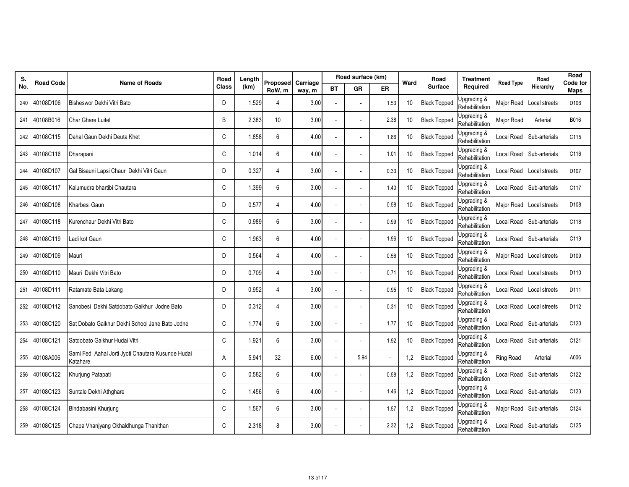| S.  | <b>Road Code</b> | <b>Name of Roads</b>                                          | Road         | Length | <b>Proposed</b> | Carriage |           | Road surface (km)        |      | Road<br>Ward    |                     |                               | <b>Treatment</b> | Road Type                  | Road             | Road<br>Code for |
|-----|------------------|---------------------------------------------------------------|--------------|--------|-----------------|----------|-----------|--------------------------|------|-----------------|---------------------|-------------------------------|------------------|----------------------------|------------------|------------------|
| No. |                  |                                                               | <b>Class</b> | (km)   | RoW, m          | way, m   | <b>BT</b> | GR                       | ER   |                 | <b>Surface</b>      | Required                      |                  | Hierarchy                  | Maps             |                  |
| 240 | 40108D106        | Bisheswor Dekhi Vitri Bato                                    | D            | 1.529  |                 | 3.00     |           |                          | 1.53 | 10              | <b>Black Topped</b> | Jpgrading &<br>Rehabilitation | Major Road       | Local streets              | D106             |                  |
| 241 | 40108B016        | Char Ghare Luitel                                             | B            | 2.383  | 10              | 3.00     |           |                          | 2.38 | 10              | <b>Black Topped</b> | Jpgrading &<br>Rehabilitation | Major Road       | Arterial                   | B016             |                  |
| 242 | 40108C115        | Dahal Gaun Dekhi Deuta Khet                                   | C            | 1.858  | 6               | 4.00     |           | $\overline{\phantom{a}}$ | 1.86 | 10 <sup>1</sup> | <b>Black Topped</b> | Jpgrading &<br>Rehabilitation | Local Road       | Sub-arterials              | C115             |                  |
| 243 | 40108C116        | Dharapani                                                     | C            | 1.014  | 6               | 4.00     |           |                          | 1.01 | 10              | <b>Black Topped</b> | Jpgrading &<br>Rehabilitation |                  | Local Road Sub-arterials   | C116             |                  |
| 244 | 40108D107        | Gal Bisauni Lapsi Chaur Dekhi Vitri Gaun                      | D            | 0.327  | 4               | 3.00     | ÷,        | ÷,                       | 0.33 | 10 <sup>1</sup> | <b>Black Topped</b> | Jpgrading &<br>Rehabilitation | Local Road       | Local streets              | D107             |                  |
| 245 | 40108C117        | Kalumudra bhartibi Chautara                                   | $\mathsf C$  | 1.399  | 6               | 3.00     |           |                          | 1.40 | 10              | <b>Black Topped</b> | Jpgrading &<br>Rehabilitation | Local Road       | Sub-arterials              | C117             |                  |
| 246 | 40108D108        | Kharbesi Gaun                                                 | D            | 0.577  | 4               | 4.00     |           |                          | 0.58 | 10              | <b>Black Topped</b> | Upgrading &<br>Rehabilitation | Major Road       | Local streets              | D108             |                  |
| 247 | 40108C118        | Kurenchaur Dekhi Vitri Bato                                   | $\mathsf C$  | 0.989  | 6               | 3.00     |           |                          | 0.99 | 10              | <b>Black Topped</b> | Jpgrading &<br>Rehabilitation |                  | Local Road Sub-arterials   | C118             |                  |
| 248 | 40108C119        | Ladi kot Gaun                                                 | C            | 1.963  | 6               | 4.00     |           | $\overline{a}$           | 1.96 | 10              | <b>Black Topped</b> | Jpgrading &<br>Rehabilitation | Local Road       | Sub-arterials              | C119             |                  |
| 249 | 40108D109        | Mauri                                                         | D            | 0.564  | 4               | 4.00     |           |                          | 0.56 | 10              | <b>Black Topped</b> | Jpgrading &<br>Rehabilitation | Major Road       | Local streets              | D <sub>109</sub> |                  |
| 250 | 40108D110        | Mauri Dekhi Vitri Bato                                        | D            | 0.709  | 4               | 3.00     |           | $\overline{a}$           | 0.71 | 10              | <b>Black Topped</b> | Upgrading &<br>Rehabilitation | Local Road       | Local streets              | D110             |                  |
| 251 | 40108D111        | Ratamate Bata Lakang                                          | D            | 0.952  | 4               | 3.00     |           |                          | 0.95 | 10              | <b>Black Topped</b> | Jpgrading &<br>Rehabilitation | Local Road       | Local streets              | D111             |                  |
| 252 | 40108D112        | Sanobesi Dekhi Satdobato Gaikhur Jodne Bato                   | D            | 0.312  | 4               | 3.00     | ÷,        | $\overline{\phantom{a}}$ | 0.31 | 10 <sup>1</sup> | <b>Black Topped</b> | Upgrading &<br>Rehabilitation | Local Road       | Local streets              | D112             |                  |
| 253 | 40108C120        | Sat Dobato Gaikhur Dekhi School Jane Bato Jodne               | C            | 1.774  | 6               | 3.00     |           |                          | 1.77 | 10              | <b>Black Topped</b> | Jpgrading &<br>Rehabilitation | Local Road       | Sub-arterials              | C120             |                  |
| 254 | 40108C121        | Satdobato Gaikhur Hudai Vitri                                 | $\mathsf{C}$ | 1.921  | 6               | 3.00     |           |                          | 1.92 | 10              | <b>Black Topped</b> | Upgrading &<br>Rehabilitation | Local Road       | Sub-arterials              | C121             |                  |
| 255 | 40108A006        | Sami Fed Aahal Jorti Jyoti Chautara Kusunde Hudai<br>Katahare | A            | 5.941  | 32              | 6.00     |           | 5.94                     | ÷.   | 1,2             | <b>Black Topped</b> | Jpgrading &<br>Rehabilitation | Ring Road        | Arterial                   | A006             |                  |
| 256 | 40108C122        | Khurjung Patapati                                             | C            | 0.582  | 6               | 4.00     |           | $\overline{a}$           | 0.58 | 1,2             | <b>Black Topped</b> | Jpgrading &<br>Rehabilitation | Local Road       | Sub-arterials              | C122             |                  |
| 257 | 40108C123        | Suntale Dekhi Athqhare                                        | C            | 1.456  | 6               | 4.00     |           |                          | 1.46 | 1,2             | <b>Black Topped</b> | Jpgrading &<br>Rehabilitation | Local Road       | Sub-arterials              | C123             |                  |
| 258 | 40108C124        | Bindabasini Khurjung                                          | C            | 1.567  | 6               | 3.00     |           | $\overline{\phantom{a}}$ | 1.57 | 1,2             | <b>Black Topped</b> | Jpgrading &<br>Rehabilitation | Major Road       | Sub-arterials              | C124             |                  |
| 259 | 40108C125        | Chapa Vhanjyang Okhaldhunga Thanithan                         | C            | 2.318  | 8               | 3.00     |           |                          | 2.32 | 1,2             | <b>Black Topped</b> | Jpgrading &<br>Rehabilitation |                  | Local Road   Sub-arterials | C125             |                  |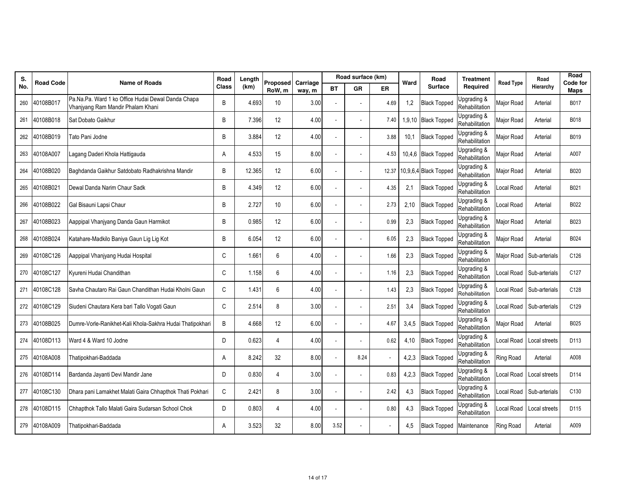| S.  | <b>Road Code</b> | <b>Name of Roads</b>                                                                    | Road         | Length | Proposed        | Carriage |           | Road surface (km) |           | Ward  | Road                  | <b>Treatment</b><br>Required  | <b>Road Type</b>  | Road                     | Road<br>Code for |
|-----|------------------|-----------------------------------------------------------------------------------------|--------------|--------|-----------------|----------|-----------|-------------------|-----------|-------|-----------------------|-------------------------------|-------------------|--------------------------|------------------|
| No. |                  |                                                                                         | <b>Class</b> | (km)   | RoW, m          | way, m   | <b>BT</b> | GR                | <b>ER</b> |       | <b>Surface</b>        |                               |                   | Hierarchy                | Maps             |
| 260 | 40108B017        | Pa.Na.Pa. Ward 1 ko Office Hudai Dewal Danda Chapa<br>Vhanjyang Ram Mandir Phalam Khani | B            | 4.693  | 10              | 3.00     |           |                   | 4.69      | 1,2   | <b>Black Topped</b>   | Jpgrading &<br>Rehabilitation | Major Road        | Arterial                 | B017             |
| 261 | 40108B018        | Sat Dobato Gaikhur                                                                      | B            | 7.396  | 12              | 4.00     |           |                   | 7.40      |       | 1,9,10 Black Topped   | Jpgrading &<br>Rehabilitation | Major Road        | Arterial                 | B018             |
| 262 | 40108B019        | Tato Pani Jodne                                                                         | B            | 3.884  | 12              | 4.00     |           |                   | 3.88      | 10,1  | <b>Black Topped</b>   | Jpgrading &<br>Rehabilitation | Major Road        | Arterial                 | B019             |
| 263 | 40108A007        | Lagang Daderi Khola Hattigauda                                                          | A            | 4.533  | 15              | 8.00     |           |                   | 4.53      |       | 10,4,6 Black Topped   | Jpgrading &<br>Rehabilitation | Major Road        | Arterial                 | A007             |
| 264 | 40108B020        | Baghdanda Gaikhur Satdobato Radhakrishna Mandir                                         | B            | 12.365 | 12 <sup>°</sup> | 6.00     |           |                   | 12.37     |       | 10,9,6,4 Black Topped | Jpgrading &<br>Rehabilitation | <b>Major Road</b> | Arterial                 | B020             |
| 265 | 40108B021        | Dewal Danda Narim Chaur Sadk                                                            | B            | 4.349  | 12              | 6.00     |           |                   | 4.35      | 2,1   | <b>Black Topped</b>   | Jpgrading &<br>Rehabilitation | Local Road        | Arterial                 | B021             |
| 266 | 40108B022        | Gal Bisauni Lapsi Chaur                                                                 | B            | 2.727  | 10              | 6.00     |           |                   | 2.73      | 2,10  | <b>Black Topped</b>   | Jpgrading &<br>Rehabilitation | Local Road        | Arterial                 | B022             |
| 267 | 40108B023        | Aappipal Vhanjyang Danda Gaun Harmikot                                                  | B            | 0.985  | 12              | 6.00     |           |                   | 0.99      | 2,3   | <b>Black Topped</b>   | Jpgrading &<br>Rehabilitation | Major Road        | Arterial                 | B023             |
| 268 | 40108B024        | Katahare-Madkilo Baniya Gaun Lig Lig Kot                                                | B            | 6.054  | 12              | 6.00     |           | $\overline{a}$    | 6.05      | 2,3   | <b>Black Topped</b>   | Jpgrading &<br>Rehabilitation | Major Road        | Arterial                 | B024             |
| 269 | 40108C126        | Aappipal Vhanjyang Hudai Hospital                                                       | C            | 1.661  | 6               | 4.00     |           |                   | 1.66      | 2,3   | <b>Black Topped</b>   | Jpgrading &<br>Rehabilitation |                   | Major Road Sub-arterials | C126             |
| 270 | 40108C127        | Kyureni Hudai Chandithan                                                                | $\mathsf{C}$ | 1.158  | 6               | 4.00     |           |                   | 1.16      | 2,3   | <b>Black Topped</b>   | Jpgrading &<br>Rehabilitation | Local Road        | Sub-arterials            | C <sub>127</sub> |
| 271 | 40108C128        | Savha Chautaro Rai Gaun Chandithan Hudai Kholni Gaun                                    | C            | 1.431  | 6               | 4.00     |           |                   | 1.43      | 2.3   | <b>Black Topped</b>   | Jpgrading &<br>Rehabilitation | ocal Road         | Sub-arterials            | C128             |
| 272 | 40108C129        | Siudeni Chautara Kera bari Tallo Vogati Gaun                                            | C            | 2.514  | 8               | 3.00     |           |                   | 2.51      | 3,4   | <b>Black Topped</b>   | Jpgrading &<br>Rehabilitation | Local Road        | Sub-arterials            | C129             |
| 273 | 40108B025        | Dumre-Vorle-Ranikhet-Kali Khola-Sakhra Hudai Thatipokhari                               | B            | 4.668  | 12              | 6.00     |           |                   | 4.67      | 3,4,5 | <b>Black Topped</b>   | Jpgrading &<br>Rehabilitation | <b>Major Road</b> | Arterial                 | B025             |
| 274 | 40108D113        | Ward 4 & Ward 10 Jodne                                                                  | D.           | 0.623  | 4               | 4.00     |           |                   | 0.62      | 4,10  | <b>Black Topped</b>   | Jpgrading &<br>Rehabilitation | Local Road        | Local streets            | D113             |
| 275 | 40108A008        | Thatipokhari-Baddada                                                                    | A            | 8.242  | 32              | 8.00     |           | 8.24              |           | 4,2,3 | <b>Black Topped</b>   | Jpgrading &<br>Rehabilitation | Ring Road         | Arterial                 | A008             |
| 276 | 40108D114        | Bardanda Jayanti Devi Mandir Jane                                                       | D            | 0.830  | 4               | 3.00     |           |                   | 0.83      | 4,2,3 | <b>Black Topped</b>   | Jpgrading &<br>Rehabilitation | Local Road        | Local streets            | D114             |
| 277 | 40108C130        | Dhara pani Lamakhet Malati Gaira Chhapthok Thati Pokhari                                | C            | 2.421  | 8               | 3.00     |           |                   | 2.42      | 4,3   | <b>Black Topped</b>   | Jpgrading &<br>Rehabilitation | Local Road        | Sub-arterials            | C130             |
| 278 | 40108D115        | Chhapthok Tallo Malati Gaira Sudarsan School Chok                                       | D            | 0.803  | 4               | 4.00     |           |                   | 0.80      | 4,3   | <b>Black Topped</b>   | Jpgrading &<br>Rehabilitation | Local Road        | Local streets            | D115             |
| 279 | 40108A009        | Thatipokhari-Baddada                                                                    | A            | 3.523  | 32              | 8.00     | 3.52      |                   |           | 4.5   | <b>Black Topped</b>   | Maintenance                   | Ring Road         | Arterial                 | A009             |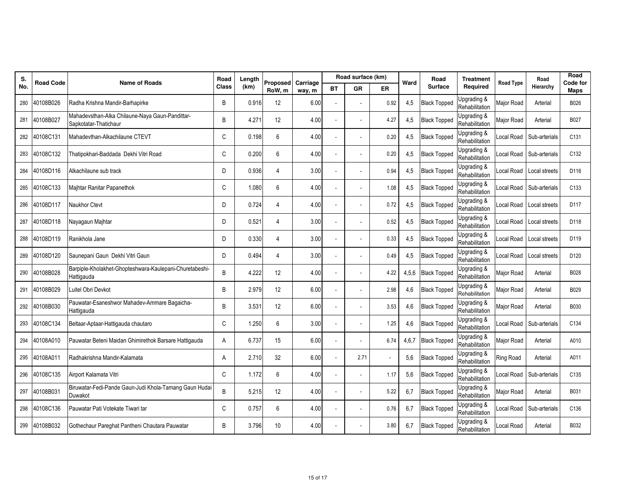| S.  | <b>Road Code</b> | <b>Name of Roads</b>                                                     | Road         | Length | Proposed | Carriage |                          | Road surface (km)        |           | Road<br>Ward |                     | <b>Treatment</b>              | Road Type  | Road                     | Road<br>Code for |
|-----|------------------|--------------------------------------------------------------------------|--------------|--------|----------|----------|--------------------------|--------------------------|-----------|--------------|---------------------|-------------------------------|------------|--------------------------|------------------|
| No. |                  |                                                                          | <b>Class</b> | (km)   | RoW, m   | way, m   | <b>BT</b>                | <b>GR</b>                | <b>ER</b> |              | <b>Surface</b>      | Required                      |            | Hierarchy                | Maps             |
| 280 | 40108B026        | Radha Krishna Mandir-Barhapirke                                          | B            | 0.916  | 12       | 6.00     |                          |                          | 0.92      | 4,5          | <b>Black Topped</b> | Jpgrading &<br>Rehabilitation | Major Road | Arterial                 | B026             |
| 281 | 40108B027        | Mahadevsthan-Alka Chilaune-Naya Gaun-Pandittar-<br>Sapkotatar-Thatichaur | B            | 4.271  | 12       | 4.00     |                          |                          | 4.27      | 4,5          | <b>Black Topped</b> | Jpgrading &<br>Rehabilitation | Major Road | Arterial                 | B027             |
| 282 | 40108C131        | Mahadevthan-Alkachilaune CTEVT                                           | C            | 0.198  | 6        | 4.00     |                          |                          | 0.20      | 4,5          | <b>Black Topped</b> | Jpgrading &<br>Rehabilitation | Local Road | Sub-arterials            | C131             |
| 283 | 40108C132        | Thatipokhari-Baddada Dekhi Vitri Road                                    | C            | 0.200  | 6        | 4.00     |                          |                          | 0.20      | 4,5          | <b>Black Topped</b> | Jpgrading &<br>Rehabilitation |            | Local Road Sub-arterials | C132             |
| 284 | 40108D116        | Alkachilaune sub track                                                   | D            | 0.936  | 4        | 3.00     |                          | $\overline{\phantom{a}}$ | 0.94      | 4,5          | <b>Black Topped</b> | Jpgrading &<br>Rehabilitation | Local Road | Local streets            | D116             |
| 285 | 40108C133        | Maihtar Ranitar Papanethok                                               | $\mathsf C$  | 1.080  | 6        | 4.00     |                          |                          | 1.08      | 4,5          | <b>Black Topped</b> | Jpgrading &<br>Rehabilitation | Local Road | Sub-arterials            | C133             |
| 286 | 40108D117        | Naukhor Ctevt                                                            | D            | 0.724  | 4        | 4.00     |                          |                          | 0.72      | 4,5          | <b>Black Topped</b> | Jpgrading &<br>Rehabilitation | Local Road | Local streets            | D117             |
| 287 | 40108D118        | Nayagaun Majhtar                                                         | D            | 0.521  | 4        | 3.00     |                          |                          | 0.52      | 4,5          | <b>Black Topped</b> | Jpgrading &<br>Rehabilitation | Local Road | Local streets            | D118             |
| 288 | 40108D119        | Ranikhola Jane                                                           | D            | 0.330  | 4        | 3.00     |                          |                          | 0.33      | 4,5          | <b>Black Topped</b> | Jpgrading &<br>Rehabilitation | Local Road | Local streets            | D119             |
| 289 | 40108D120        | Saunepani Gaun Dekhi Vitri Gaun                                          | D            | 0.494  | 4        | 3.00     |                          |                          | 0.49      | 4.5          | <b>Black Topped</b> | Jpgrading &<br>Rehabilitation | ocal Road  | Local streets            | D <sub>120</sub> |
| 290 | 40108B028        | Barpiple-Kholakhet-Ghopteshwara-Kaulepani-Churetabeshi-<br>Hattigauda    | B            | 4.222  | 12       | 4.00     |                          |                          | 4.22      | 4,5,6        | <b>Black Topped</b> | Jpgrading &<br>Rehabilitation | Major Road | Arterial                 | B028             |
| 291 | 40108B029        | Luitel Obri Devkot                                                       | B            | 2.979  | 12       | 6.00     |                          |                          | 2.98      | 4.6          | <b>Black Topped</b> | Jpgrading &<br>Rehabilitation | Major Road | Arterial                 | B029             |
| 292 | 40108B030        | Pauwatar-Esaneshwor Mahadev-Ammare Bagaicha-<br>Hattigauda               | B            | 3.531  | 12       | 6.00     | $\overline{\phantom{a}}$ | $\overline{a}$           | 3.53      | 4,6          | <b>Black Topped</b> | Jpgrading &<br>Rehabilitation | Major Road | Arterial                 | <b>B030</b>      |
| 293 | 40108C134        | Beltaar-Aptaar-Hattigauda chautaro                                       | C            | 1.250  | 6        | 3.00     |                          |                          | 1.25      | 4,6          | <b>Black Topped</b> | Jpgrading &<br>Rehabilitation | Local Road | Sub-arterials            | C134             |
| 294 | 40108A010        | Pauwatar Beteni Maidan Ghimirethok Barsare Hattigauda                    | Α            | 6.737  | 15       | 6.00     |                          |                          | 6.74      | 4,6,7        | <b>Black Topped</b> | Upgrading &<br>Rehabilitation | Major Road | Arterial                 | A010             |
| 295 | 40108A011        | Radhakrishna Mandir-Kalamata                                             | A            | 2.710  | 32       | 6.00     |                          | 2.71                     |           | 5,6          | <b>Black Topped</b> | Jpgrading &<br>Rehabilitation | Ring Road  | Arterial                 | A011             |
| 296 | 40108C135        | Airport Kalamata Vitri                                                   | C            | 1.172  | 6        | 4.00     |                          |                          | 1.17      | 5,6          | <b>Black Topped</b> | Jpgrading &<br>Rehabilitation | Local Road | Sub-arterials            | C <sub>135</sub> |
| 297 | 40108B031        | Biruwatar-Fedi-Pande Gaun-Judi Khola-Tamang Gaun Hudai<br>Duwakot        | B            | 5.215  | 12       | 4.00     |                          |                          | 5.22      | 6,7          | <b>Black Topped</b> | Jpgrading &<br>Rehabilitation | Major Road | Arterial                 | B031             |
| 298 | 40108C136        | Pauwatar Pati Votekate Tiwari tar                                        | C            | 0.757  | 6        | 4.00     |                          | $\overline{\phantom{a}}$ | 0.76      | 6,7          | <b>Black Topped</b> | Jpgrading &<br>Rehabilitation | Local Road | Sub-arterials            | C136             |
| 299 | 40108B032        | Gothechaur Pareghat Pantheni Chautara Pauwatar                           | B            | 3.796  | 10       | 4.00     |                          |                          | 3.80      | 6,7          | <b>Black Topped</b> | Jpgrading &<br>Rehabilitation | Local Road | Arterial                 | B032             |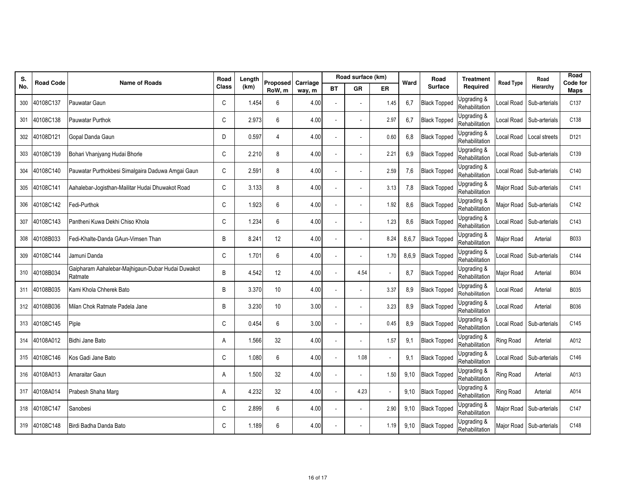| S.  | <b>Road Code</b> | <b>Name of Roads</b>                                         | Road  | Length | Proposed | Carriage |           | Road surface (km)        |      | Road<br>Ward |                     | <b>Treatment</b>              | Road Type        | Road                     | Road<br>Code for |
|-----|------------------|--------------------------------------------------------------|-------|--------|----------|----------|-----------|--------------------------|------|--------------|---------------------|-------------------------------|------------------|--------------------------|------------------|
| No. |                  |                                                              | Class | (km)   | RoW, m   | way, m   | <b>BT</b> | GR                       | ER   |              | <b>Surface</b>      | Required                      |                  | Hierarchy                | Maps             |
| 300 | 40108C137        | Pauwatar Gaun                                                | C     | 1.454  | 6        | 4.00     | ä,        | $\overline{\phantom{a}}$ | 1.45 | 6,7          | <b>Black Topped</b> | Upgrading &<br>Rehabilitation | Local Road       | Sub-arterials            | C137             |
| 301 | 40108C138        | Pauwatar Purthok                                             | C     | 2.973  | 6        | 4.00     |           |                          | 2.97 | 6,7          | <b>Black Topped</b> | Jpgrading &<br>Rehabilitation | ocal Road        | Sub-arterials            | C138             |
| 302 | 40108D121        | Gopal Danda Gaun                                             | D     | 0.597  | 4        | 4.00     | ÷,        | $\overline{\phantom{a}}$ | 0.60 | 6,8          | <b>Black Topped</b> | Upgrading &<br>Rehabilitation | Local Road       | Local streets            | D121             |
| 303 | 40108C139        | Bohari Vhanjyang Hudai Bhorle                                | C     | 2.210  | 8        | 4.00     |           |                          | 2.21 | 6,9          | <b>Black Topped</b> | Jpgrading &<br>Rehabilitation |                  | Local Road Sub-arterials | C139             |
| 304 | 40108C140        | Pauwatar Purthokbesi Simalgaira Daduwa Amgai Gaun            | C     | 2.591  | 8        | 4.00     | ä,        | $\overline{\phantom{a}}$ | 2.59 | 7,6          | <b>Black Topped</b> | Upgrading &<br>Rehabilitation | Local Road       | Sub-arterials            | C140             |
| 305 | 40108C141        | Aahalebar-Jogisthan-Mailitar Hudai Dhuwakot Road             | С     | 3.133  | 8        | 4.00     |           |                          | 3.13 | 7,8          | <b>Black Topped</b> | Jpgrading &<br>Rehabilitation |                  | Major Road Sub-arterials | C141             |
| 306 | 40108C142        | Fedi-Purthok                                                 | C     | 1.923  | 6        | 4.00     | ä,        |                          | 1.92 | 8,6          | <b>Black Topped</b> | Upgrading &<br>Rehabilitation |                  | Major Road Sub-arterials | C142             |
| 307 | 40108C143        | Pantheni Kuwa Dekhi Chiso Khola                              | C     | 1.234  | 6        | 4.00     |           |                          | 1.23 | 8,6          | <b>Black Topped</b> | Jpgrading &<br>Rehabilitation |                  | Local Road Sub-arterials | C143             |
| 308 | 40108B033        | Fedi-Khalte-Danda GAun-Vimsen Than                           | B     | 8.241  | 12       | 4.00     | ä,        | ÷.                       | 8.24 | 8,6,7        | <b>Black Topped</b> | Upgrading &<br>Rehabilitation | Major Road       | Arterial                 | B033             |
| 309 | 40108C144        | Jamuni Danda                                                 | C     | 1.701  | 6        | 4.00     |           |                          | 1.70 | 8,6,9        | <b>Black Topped</b> | Jpgrading &<br>Rehabilitation | .ocal Road       | Sub-arterials            | C144             |
| 310 | 40108B034        | Gaipharam Aahalebar-Majhigaun-Dubar Hudai Duwakot<br>Ratmate | B     | 4.542  | 12       | 4.00     | J.        | 4.54                     |      | 8,7          | <b>Black Topped</b> | Upgrading &<br>Rehabilitation | Major Road       | Arterial                 | B034             |
| 311 | 40108B035        | Kami Khola Chherek Bato                                      | B     | 3.370  | 10       | 4.00     |           |                          | 3.37 | 8.9          | <b>Black Topped</b> | Jpgrading &<br>Rehabilitation | Local Road       | Arterial                 | <b>B035</b>      |
| 312 | 40108B036        | Milan Chok Ratmate Padela Jane                               | B     | 3.230  | 10       | 3.00     | ä,        | $\overline{\phantom{a}}$ | 3.23 | 8,9          | <b>Black Topped</b> | Upgrading &<br>Rehabilitation | Local Road       | Arterial                 | <b>B036</b>      |
| 313 | 40108C145        | Piple                                                        | C     | 0.454  | 6        | 3.00     |           |                          | 0.45 | 8,9          | <b>Black Topped</b> | Jpgrading &<br>Rehabilitation | ocal Road        | Sub-arterials            | C145             |
| 314 | 40108A012        | Bidhi Jane Bato                                              | Α     | 1.566  | 32       | 4.00     | J.        |                          | 1.57 | 9,1          | <b>Black Topped</b> | Upgrading &<br>Rehabilitation | <b>Ring Road</b> | Arterial                 | A012             |
| 315 | 40108C146        | Kos Gadi Jane Bato                                           | C     | 1.080  | 6        | 4.00     |           | 1.08                     |      | 9,1          | <b>Black Topped</b> | Jpgrading &<br>Rehabilitation | Local Road       | Sub-arterials            | C146             |
| 316 | 40108A013        | Amaraitar Gaun                                               | A     | 1.500  | 32       | 4.00     | ä,        | ÷.                       | 1.50 | 9,10         | <b>Black Topped</b> | Upgrading &<br>Rehabilitation | Ring Road        | Arterial                 | A013             |
| 317 | 40108A014        | Prabesh Shaha Marq                                           | A     | 4.232  | 32       | 4.00     |           | 4.23                     | ÷.   | 9,10         | <b>Black Topped</b> | Jpgrading &<br>Rehabilitation | Ring Road        | Arterial                 | A014             |
| 318 | 40108C147        | Sanobesi                                                     | C     | 2.899  | 6        | 4.00     | ä,        | $\overline{\phantom{a}}$ | 2.90 | 9,10         | <b>Black Topped</b> | Upgrading &<br>Rehabilitation | Major Road       | Sub-arterials            | C147             |
|     | 319 40108C148    | Birdi Badha Danda Bato                                       | C     | 1.189  | 6        | 4.00     |           |                          | 1.19 | 9,10         | <b>Black Topped</b> | Jpgrading &<br>Rehabilitation |                  | Major Road Sub-arterials | C148             |